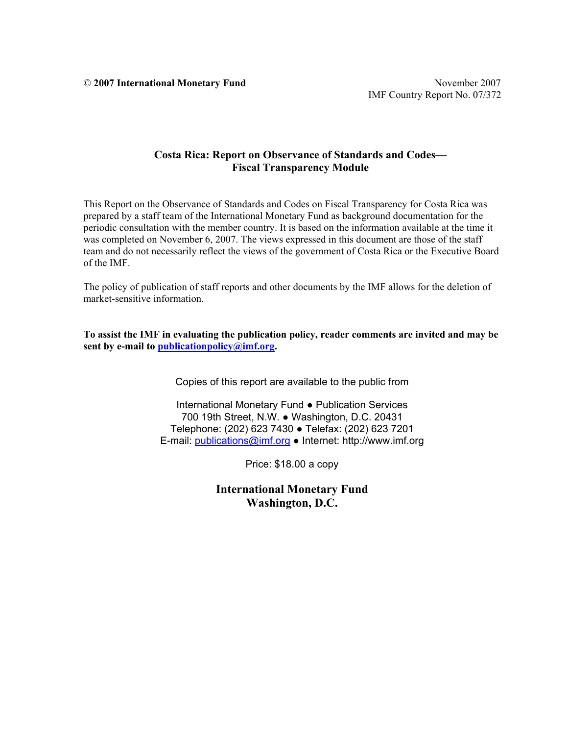© **2007 International Monetary Fund** November 2007

# **Costa Rica: Report on Observance of Standards and Codes— Fiscal Transparency Module**

This Report on the Observance of Standards and Codes on Fiscal Transparency for Costa Rica was prepared by a staff team of the International Monetary Fund as background documentation for the periodic consultation with the member country. It is based on the information available at the time it was completed on November 6, 2007. The views expressed in this document are those of the staff team and do not necessarily reflect the views of the government of Costa Rica or the Executive Board of the IMF.

The policy of publication of staff reports and other documents by the IMF allows for the deletion of market-sensitive information.

**To assist the IMF in evaluating the publication policy, reader comments are invited and may be sent by e-mail to publicationpolicy@imf.org.** 

Copies of this report are available to the public from

International Monetary Fund ● Publication Services 700 19th Street, N.W. ● Washington, D.C. 20431 Telephone: (202) 623 7430 ● Telefax: (202) 623 7201 E-mail: publications@imf.org ● Internet: http://www.imf.org

Price: \$18.00 a copy

**International Monetary Fund Washington, D.C.**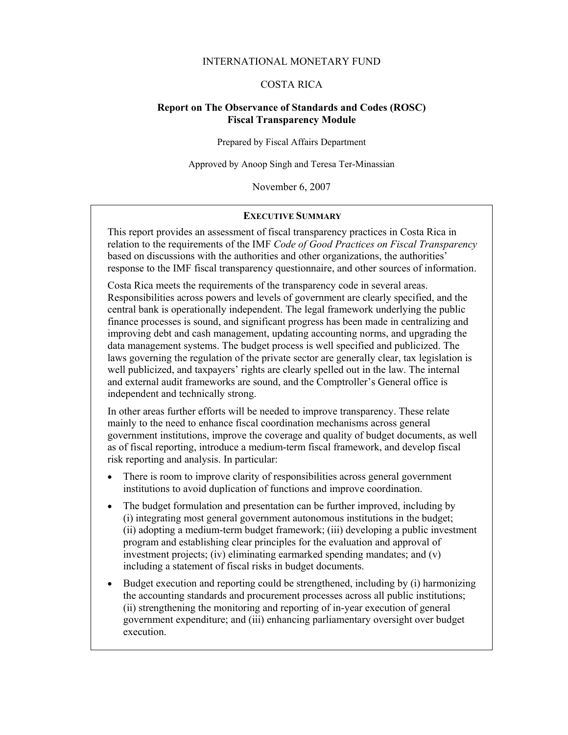## INTERNATIONAL MONETARY FUND

## COSTA RICA

## **Report on The Observance of Standards and Codes (ROSC) Fiscal Transparency Module**

Prepared by Fiscal Affairs Department

Approved by Anoop Singh and Teresa Ter-Minassian

November 6, 2007

#### **EXECUTIVE SUMMARY**

This report provides an assessment of fiscal transparency practices in Costa Rica in relation to the requirements of the IMF *Code of Good Practices on Fiscal Transparency* based on discussions with the authorities and other organizations, the authorities' response to the IMF fiscal transparency questionnaire, and other sources of information.

Costa Rica meets the requirements of the transparency code in several areas. Responsibilities across powers and levels of government are clearly specified, and the central bank is operationally independent. The legal framework underlying the public finance processes is sound, and significant progress has been made in centralizing and improving debt and cash management, updating accounting norms, and upgrading the data management systems. The budget process is well specified and publicized. The laws governing the regulation of the private sector are generally clear, tax legislation is well publicized, and taxpayers' rights are clearly spelled out in the law. The internal and external audit frameworks are sound, and the Comptroller's General office is independent and technically strong.

In other areas further efforts will be needed to improve transparency. These relate mainly to the need to enhance fiscal coordination mechanisms across general government institutions, improve the coverage and quality of budget documents, as well as of fiscal reporting, introduce a medium-term fiscal framework, and develop fiscal risk reporting and analysis. In particular:

- There is room to improve clarity of responsibilities across general government institutions to avoid duplication of functions and improve coordination.
- The budget formulation and presentation can be further improved, including by (i) integrating most general government autonomous institutions in the budget; (ii) adopting a medium-term budget framework; (iii) developing a public investment program and establishing clear principles for the evaluation and approval of investment projects; (iv) eliminating earmarked spending mandates; and (v) including a statement of fiscal risks in budget documents.
- Budget execution and reporting could be strengthened, including by (i) harmonizing the accounting standards and procurement processes across all public institutions; (ii) strengthening the monitoring and reporting of in-year execution of general government expenditure; and (iii) enhancing parliamentary oversight over budget execution.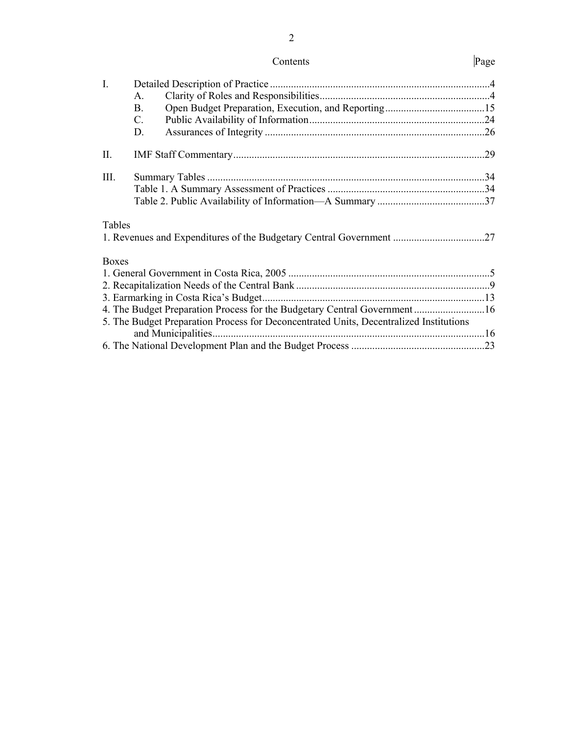2

| $\mathbf{I}$ . |                                                                                        |  |
|----------------|----------------------------------------------------------------------------------------|--|
|                | A.                                                                                     |  |
|                | <b>B.</b>                                                                              |  |
|                | $C_{\cdot}$                                                                            |  |
|                | D.                                                                                     |  |
| II.            |                                                                                        |  |
| III.           |                                                                                        |  |
|                |                                                                                        |  |
|                |                                                                                        |  |
| Tables         |                                                                                        |  |
|                |                                                                                        |  |
| <b>Boxes</b>   |                                                                                        |  |
|                |                                                                                        |  |
|                |                                                                                        |  |
|                |                                                                                        |  |
|                | 4. The Budget Preparation Process for the Budgetary Central Government 16              |  |
|                | 5. The Budget Preparation Process for Deconcentrated Units, Decentralized Institutions |  |
|                |                                                                                        |  |
|                |                                                                                        |  |
|                |                                                                                        |  |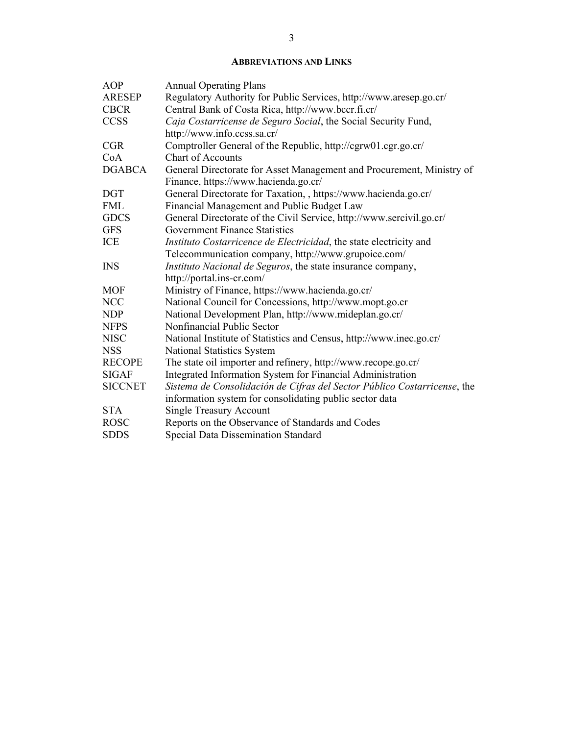## **ABBREVIATIONS AND LINKS**

| <b>AOP</b>     | <b>Annual Operating Plans</b>                                            |
|----------------|--------------------------------------------------------------------------|
| <b>ARESEP</b>  | Regulatory Authority for Public Services, http://www.aresep.go.cr/       |
| <b>CBCR</b>    | Central Bank of Costa Rica, http://www.bccr.fi.cr/                       |
| <b>CCSS</b>    | Caja Costarricense de Seguro Social, the Social Security Fund,           |
|                | http://www.info.ccss.sa.cr/                                              |
| <b>CGR</b>     | Comptroller General of the Republic, http://cgrw01.cgr.go.cr/            |
| CoA            | <b>Chart of Accounts</b>                                                 |
| <b>DGABCA</b>  | General Directorate for Asset Management and Procurement, Ministry of    |
|                | Finance, https://www.hacienda.go.cr/                                     |
| <b>DGT</b>     | General Directorate for Taxation, , https://www.hacienda.go.cr/          |
| <b>FML</b>     | Financial Management and Public Budget Law                               |
| <b>GDCS</b>    | General Directorate of the Civil Service, http://www.sercivil.go.cr/     |
| <b>GFS</b>     | <b>Government Finance Statistics</b>                                     |
| ICE            | Instituto Costarricence de Electricidad, the state electricity and       |
|                | Telecommunication company, http://www.grupoice.com/                      |
| <b>INS</b>     | Instituto Nacional de Seguros, the state insurance company,              |
|                | http://portal.ins-cr.com/                                                |
| <b>MOF</b>     | Ministry of Finance, https://www.hacienda.go.cr/                         |
| <b>NCC</b>     | National Council for Concessions, http://www.mopt.go.cr                  |
| <b>NDP</b>     | National Development Plan, http://www.mideplan.go.cr/                    |
| <b>NFPS</b>    | Nonfinancial Public Sector                                               |
| <b>NISC</b>    | National Institute of Statistics and Census, http://www.inec.go.cr/      |
| <b>NSS</b>     | National Statistics System                                               |
| <b>RECOPE</b>  | The state oil importer and refinery, http://www.recope.go.cr/            |
| <b>SIGAF</b>   | Integrated Information System for Financial Administration               |
| <b>SICCNET</b> | Sistema de Consolidación de Cifras del Sector Público Costarricense, the |
|                | information system for consolidating public sector data                  |
| <b>STA</b>     | <b>Single Treasury Account</b>                                           |
| <b>ROSC</b>    | Reports on the Observance of Standards and Codes                         |
| <b>SDDS</b>    | <b>Special Data Dissemination Standard</b>                               |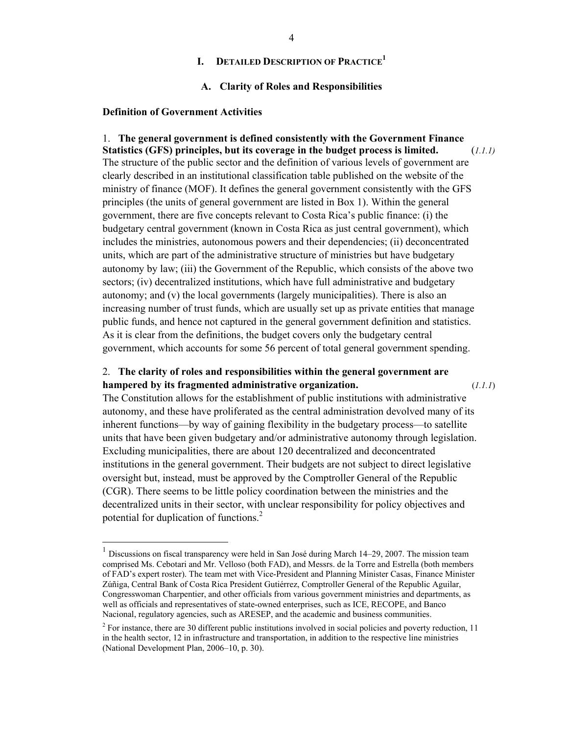# **I. DETAILED DESCRIPTION OF PRACTICE1**

#### **A. Clarity of Roles and Responsibilities**

#### **Definition of Government Activities**

 $\overline{a}$ 

1. **The general government is defined consistently with the Government Finance Statistics (GFS) principles, but its coverage in the budget process is limited.** (*1.1.1)*  The structure of the public sector and the definition of various levels of government are clearly described in an institutional classification table published on the website of the ministry of finance (MOF). It defines the general government consistently with the GFS principles (the units of general government are listed in Box 1). Within the general government, there are five concepts relevant to Costa Rica's public finance: (i) the budgetary central government (known in Costa Rica as just central government), which includes the ministries, autonomous powers and their dependencies; (ii) deconcentrated units, which are part of the administrative structure of ministries but have budgetary autonomy by law; (iii) the Government of the Republic, which consists of the above two sectors; (iv) decentralized institutions, which have full administrative and budgetary autonomy; and (v) the local governments (largely municipalities). There is also an increasing number of trust funds, which are usually set up as private entities that manage public funds, and hence not captured in the general government definition and statistics. As it is clear from the definitions, the budget covers only the budgetary central government, which accounts for some 56 percent of total general government spending.

# 2. **The clarity of roles and responsibilities within the general government are hampered by its fragmented administrative organization.** (*1.1.1*)

The Constitution allows for the establishment of public institutions with administrative autonomy, and these have proliferated as the central administration devolved many of its inherent functions—by way of gaining flexibility in the budgetary process—to satellite units that have been given budgetary and/or administrative autonomy through legislation. Excluding municipalities, there are about 120 decentralized and deconcentrated institutions in the general government. Their budgets are not subject to direct legislative oversight but, instead, must be approved by the Comptroller General of the Republic (CGR). There seems to be little policy coordination between the ministries and the decentralized units in their sector, with unclear responsibility for policy objectives and potential for duplication of functions.<sup>2</sup>

<sup>1</sup> Discussions on fiscal transparency were held in San José during March 14–29, 2007. The mission team comprised Ms. Cebotari and Mr. Velloso (both FAD), and Messrs. de la Torre and Estrella (both members of FAD's expert roster). The team met with Vice-President and Planning Minister Casas, Finance Minister Zúñiga, Central Bank of Costa Rica President Gutiérrez, Comptroller General of the Republic Aguilar, Congresswoman Charpentier, and other officials from various government ministries and departments, as well as officials and representatives of state-owned enterprises, such as ICE, RECOPE, and Banco Nacional, regulatory agencies, such as ARESEP, and the academic and business communities.

 $2^{2}$  For instance, there are 30 different public institutions involved in social policies and poverty reduction, 11 in the health sector, 12 in infrastructure and transportation, in addition to the respective line ministries (National Development Plan, 2006–10, p. 30).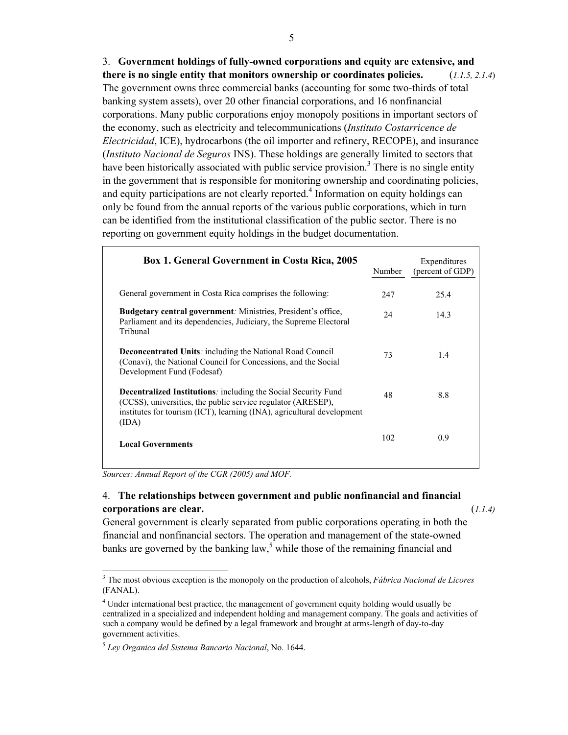3. **Government holdings of fully-owned corporations and equity are extensive, and there is no single entity that monitors ownership or coordinates policies.** (*1.1.5, 2.1.4*) The government owns three commercial banks (accounting for some two-thirds of total banking system assets), over 20 other financial corporations, and 16 nonfinancial corporations. Many public corporations enjoy monopoly positions in important sectors of the economy, such as electricity and telecommunications (*Instituto Costarricence de Electricidad*, ICE), hydrocarbons (the oil importer and refinery, RECOPE), and insurance (*Instituto Nacional de Seguros* INS). These holdings are generally limited to sectors that have been historically associated with public service provision.<sup>3</sup> There is no single entity in the government that is responsible for monitoring ownership and coordinating policies, and equity participations are not clearly reported.<sup>4</sup> Information on equity holdings can only be found from the annual reports of the various public corporations, which in turn can be identified from the institutional classification of the public sector. There is no reporting on government equity holdings in the budget documentation.

| <b>Box 1. General Government in Costa Rica, 2005</b>                                                                                                                                                              | Number | Expenditures<br>(percent of GDP) |
|-------------------------------------------------------------------------------------------------------------------------------------------------------------------------------------------------------------------|--------|----------------------------------|
| General government in Costa Rica comprises the following:                                                                                                                                                         | 247    | 25.4                             |
| <b>Budgetary central government</b> : Ministries, President's office,<br>Parliament and its dependencies, Judiciary, the Supreme Electoral<br>Tribunal                                                            | 24     | 14.3                             |
| <b>Deconcentrated Units:</b> including the National Road Council<br>(Conavi), the National Council for Concessions, and the Social<br>Development Fund (Fodesaf)                                                  | 73     | 1.4                              |
| Decentralized Institutions: including the Social Security Fund<br>(CCSS), universities, the public service regulator (ARESEP),<br>institutes for tourism (ICT), learning (INA), agricultural development<br>(IDA) | 48     | 8.8                              |
| <b>Local Governments</b>                                                                                                                                                                                          | 102    | 0.9                              |

*Sources: Annual Report of the CGR (2005) and MOF.*

 $\overline{a}$ 

# 4. **The relationships between government and public nonfinancial and financial corporations are clear.** (*1.1.4)*

General government is clearly separated from public corporations operating in both the financial and nonfinancial sectors. The operation and management of the state-owned banks are governed by the banking  $law$ , while those of the remaining financial and

<sup>3</sup> The most obvious exception is the monopoly on the production of alcohols, *Fábrica Nacional de Licores*  (FANAL).

<sup>&</sup>lt;sup>4</sup> Under international best practice, the management of government equity holding would usually be centralized in a specialized and independent holding and management company. The goals and activities of such a company would be defined by a legal framework and brought at arms-length of day-to-day government activities.

<sup>5</sup> *Ley Organica del Sistema Bancario Nacional*, No. 1644.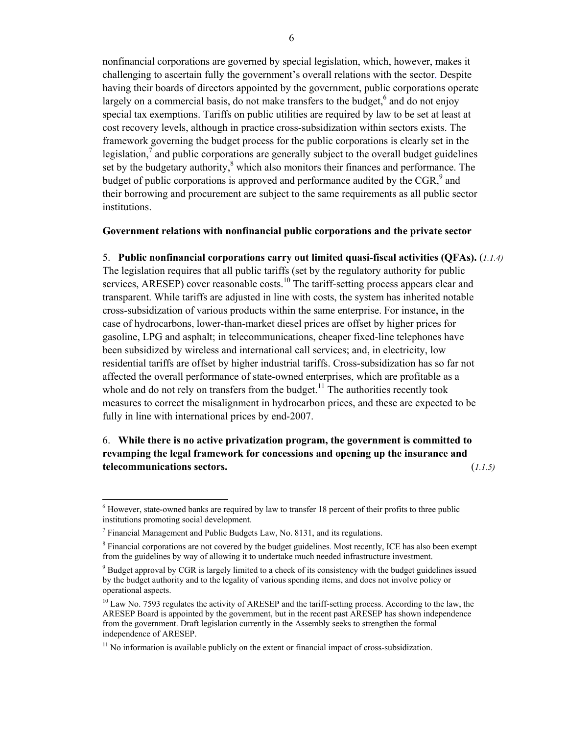nonfinancial corporations are governed by special legislation, which, however, makes it challenging to ascertain fully the government's overall relations with the sector. Despite having their boards of directors appointed by the government, public corporations operate largely on a commercial basis, do not make transfers to the budget, $6$  and do not enjoy special tax exemptions. Tariffs on public utilities are required by law to be set at least at cost recovery levels, although in practice cross-subsidization within sectors exists. The framework governing the budget process for the public corporations is clearly set in the legislation, $<sup>7</sup>$  and public corporations are generally subject to the overall budget guidelines</sup> set by the budgetary authority, $<sup>8</sup>$  which also monitors their finances and performance. The</sup> budget of public corporations is approved and performance audited by the  $CGR$ , and their borrowing and procurement are subject to the same requirements as all public sector institutions.

## **Government relations with nonfinancial public corporations and the private sector**

5. **Public nonfinancial corporations carry out limited quasi-fiscal activities (QFAs).** (*1.1.4)* The legislation requires that all public tariffs (set by the regulatory authority for public services, ARESEP) cover reasonable costs.<sup>10</sup> The tariff-setting process appears clear and transparent. While tariffs are adjusted in line with costs, the system has inherited notable cross-subsidization of various products within the same enterprise. For instance, in the case of hydrocarbons, lower-than-market diesel prices are offset by higher prices for gasoline, LPG and asphalt; in telecommunications, cheaper fixed-line telephones have been subsidized by wireless and international call services; and, in electricity, low residential tariffs are offset by higher industrial tariffs. Cross-subsidization has so far not affected the overall performance of state-owned enterprises, which are profitable as a whole and do not rely on transfers from the budget.<sup>11</sup> The authorities recently took measures to correct the misalignment in hydrocarbon prices, and these are expected to be fully in line with international prices by end-2007.

# 6. **While there is no active privatization program, the government is committed to revamping the legal framework for concessions and opening up the insurance and telecommunications sectors.** (*1.1.5)*

 $<sup>6</sup>$  However, state-owned banks are required by law to transfer 18 percent of their profits to three public</sup> institutions promoting social development.

<sup>&</sup>lt;sup>7</sup> Financial Management and Public Budgets Law, No. 8131, and its regulations.

<sup>&</sup>lt;sup>8</sup> Financial corporations are not covered by the budget guidelines. Most recently, ICE has also been exempt from the guidelines by way of allowing it to undertake much needed infrastructure investment.

<sup>&</sup>lt;sup>9</sup> Budget approval by CGR is largely limited to a check of its consistency with the budget guidelines issued by the budget authority and to the legality of various spending items, and does not involve policy or operational aspects.

<sup>&</sup>lt;sup>10</sup> Law No. 7593 regulates the activity of ARESEP and the tariff-setting process. According to the law, the ARESEP Board is appointed by the government, but in the recent past ARESEP has shown independence from the government. Draft legislation currently in the Assembly seeks to strengthen the formal independence of ARESEP.

 $11$  No information is available publicly on the extent or financial impact of cross-subsidization.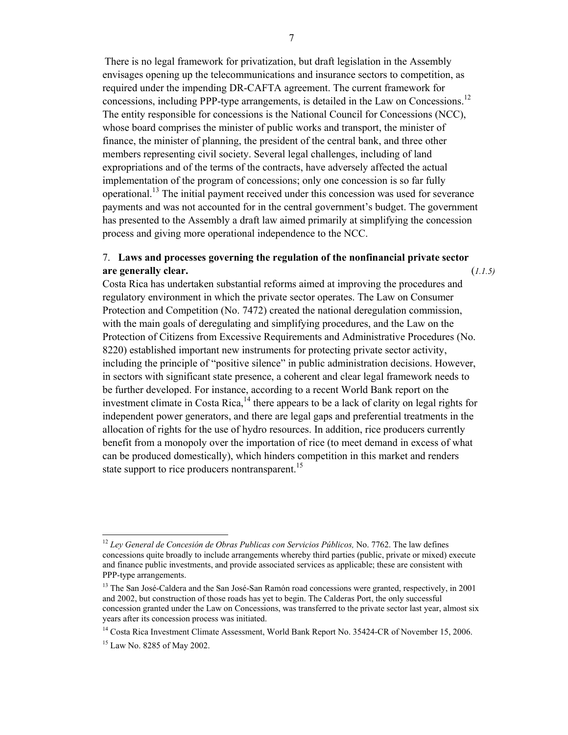There is no legal framework for privatization, but draft legislation in the Assembly envisages opening up the telecommunications and insurance sectors to competition, as required under the impending DR-CAFTA agreement. The current framework for concessions, including PPP-type arrangements, is detailed in the Law on Concessions.<sup>12</sup> The entity responsible for concessions is the National Council for Concessions (NCC), whose board comprises the minister of public works and transport, the minister of finance, the minister of planning, the president of the central bank, and three other members representing civil society. Several legal challenges, including of land expropriations and of the terms of the contracts, have adversely affected the actual implementation of the program of concessions; only one concession is so far fully operational.<sup>13</sup> The initial payment received under this concession was used for severance payments and was not accounted for in the central government's budget. The government has presented to the Assembly a draft law aimed primarily at simplifying the concession process and giving more operational independence to the NCC.

# 7. **Laws and processes governing the regulation of the nonfinancial private sector are generally clear.** (*1.1.5)*

Costa Rica has undertaken substantial reforms aimed at improving the procedures and regulatory environment in which the private sector operates. The Law on Consumer Protection and Competition (No. 7472) created the national deregulation commission, with the main goals of deregulating and simplifying procedures, and the Law on the Protection of Citizens from Excessive Requirements and Administrative Procedures (No. 8220) established important new instruments for protecting private sector activity, including the principle of "positive silence" in public administration decisions. However, in sectors with significant state presence, a coherent and clear legal framework needs to be further developed. For instance, according to a recent World Bank report on the investment climate in Costa Rica, $^{14}$  there appears to be a lack of clarity on legal rights for independent power generators, and there are legal gaps and preferential treatments in the allocation of rights for the use of hydro resources. In addition, rice producers currently benefit from a monopoly over the importation of rice (to meet demand in excess of what can be produced domestically), which hinders competition in this market and renders state support to rice producers nontransparent.<sup>15</sup>

<sup>&</sup>lt;sup>12</sup> *Ley General de Concesión de Obras Publicas con Servicios Públicos, No. 7762. The law defines* concessions quite broadly to include arrangements whereby third parties (public, private or mixed) execute and finance public investments, and provide associated services as applicable; these are consistent with PPP-type arrangements.

<sup>&</sup>lt;sup>13</sup> The San José-Caldera and the San José-San Ramón road concessions were granted, respectively, in 2001 and 2002, but construction of those roads has yet to begin. The Calderas Port, the only successful concession granted under the Law on Concessions, was transferred to the private sector last year, almost six years after its concession process was initiated.

<sup>&</sup>lt;sup>14</sup> Costa Rica Investment Climate Assessment, World Bank Report No. 35424-CR of November 15, 2006.

<sup>&</sup>lt;sup>15</sup> Law No. 8285 of May 2002.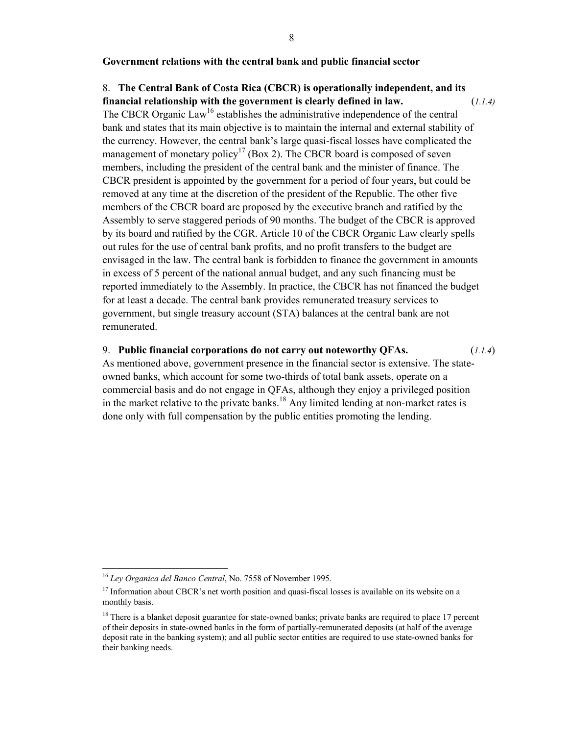#### **Government relations with the central bank and public financial sector**

# 8. **The Central Bank of Costa Rica (CBCR) is operationally independent, and its**

**financial relationship with the government is clearly defined in law.** (*1.1.4)* The CBCR Organic Law<sup>16</sup> establishes the administrative independence of the central bank and states that its main objective is to maintain the internal and external stability of the currency. However, the central bank's large quasi-fiscal losses have complicated the management of monetary policy<sup>17</sup> (Box 2). The CBCR board is composed of seven members, including the president of the central bank and the minister of finance. The CBCR president is appointed by the government for a period of four years, but could be removed at any time at the discretion of the president of the Republic. The other five members of the CBCR board are proposed by the executive branch and ratified by the Assembly to serve staggered periods of 90 months. The budget of the CBCR is approved by its board and ratified by the CGR. Article 10 of the CBCR Organic Law clearly spells out rules for the use of central bank profits, and no profit transfers to the budget are envisaged in the law. The central bank is forbidden to finance the government in amounts in excess of 5 percent of the national annual budget, and any such financing must be reported immediately to the Assembly. In practice, the CBCR has not financed the budget for at least a decade. The central bank provides remunerated treasury services to government, but single treasury account (STA) balances at the central bank are not remunerated.

#### 9. **Public financial corporations do not carry out noteworthy QFAs.** (*1.1.4*)

As mentioned above, government presence in the financial sector is extensive. The stateowned banks, which account for some two-thirds of total bank assets, operate on a commercial basis and do not engage in QFAs, although they enjoy a privileged position in the market relative to the private banks.<sup>18</sup> Any limited lending at non-market rates is done only with full compensation by the public entities promoting the lending.

<sup>16</sup> *Ley Organica del Banco Central*, No. 7558 of November 1995.

<sup>&</sup>lt;sup>17</sup> Information about CBCR's net worth position and quasi-fiscal losses is available on its website on a monthly basis.

<sup>&</sup>lt;sup>18</sup> There is a blanket deposit guarantee for state-owned banks; private banks are required to place 17 percent of their deposits in state-owned banks in the form of partially-remunerated deposits (at half of the average deposit rate in the banking system); and all public sector entities are required to use state-owned banks for their banking needs.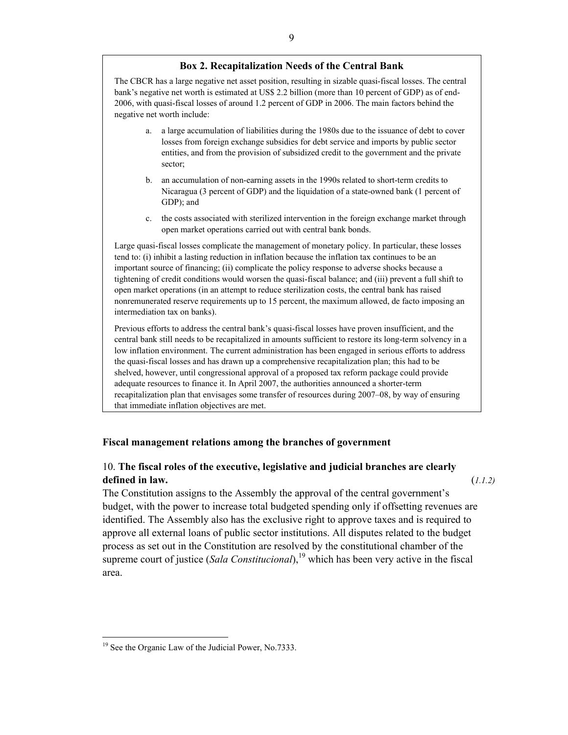#### **Box 2. Recapitalization Needs of the Central Bank**

The CBCR has a large negative net asset position, resulting in sizable quasi-fiscal losses. The central bank's negative net worth is estimated at US\$ 2.2 billion (more than 10 percent of GDP) as of end-2006, with quasi-fiscal losses of around 1.2 percent of GDP in 2006. The main factors behind the negative net worth include:

- a. a large accumulation of liabilities during the 1980s due to the issuance of debt to cover losses from foreign exchange subsidies for debt service and imports by public sector entities, and from the provision of subsidized credit to the government and the private sector;
- b. an accumulation of non-earning assets in the 1990s related to short-term credits to Nicaragua (3 percent of GDP) and the liquidation of a state-owned bank (1 percent of GDP); and
- c. the costs associated with sterilized intervention in the foreign exchange market through open market operations carried out with central bank bonds.

Large quasi-fiscal losses complicate the management of monetary policy. In particular, these losses tend to: (i) inhibit a lasting reduction in inflation because the inflation tax continues to be an important source of financing; (ii) complicate the policy response to adverse shocks because a tightening of credit conditions would worsen the quasi-fiscal balance; and (iii) prevent a full shift to open market operations (in an attempt to reduce sterilization costs, the central bank has raised nonremunerated reserve requirements up to 15 percent, the maximum allowed, de facto imposing an intermediation tax on banks).

Previous efforts to address the central bank's quasi-fiscal losses have proven insufficient, and the central bank still needs to be recapitalized in amounts sufficient to restore its long-term solvency in a low inflation environment. The current administration has been engaged in serious efforts to address the quasi-fiscal losses and has drawn up a comprehensive recapitalization plan; this had to be shelved, however, until congressional approval of a proposed tax reform package could provide adequate resources to finance it. In April 2007, the authorities announced a shorter-term recapitalization plan that envisages some transfer of resources during 2007–08, by way of ensuring that immediate inflation objectives are met.

#### **Fiscal management relations among the branches of government**

# 10. **The fiscal roles of the executive, legislative and judicial branches are clearly defined in law.** (*1.1.2)*

The Constitution assigns to the Assembly the approval of the central government's budget, with the power to increase total budgeted spending only if offsetting revenues are identified. The Assembly also has the exclusive right to approve taxes and is required to approve all external loans of public sector institutions. All disputes related to the budget process as set out in the Constitution are resolved by the constitutional chamber of the supreme court of justice (*Sala Constitucional*),<sup>19</sup> which has been very active in the fiscal area.

 $\overline{a}$ <sup>19</sup> See the Organic Law of the Judicial Power, No.7333.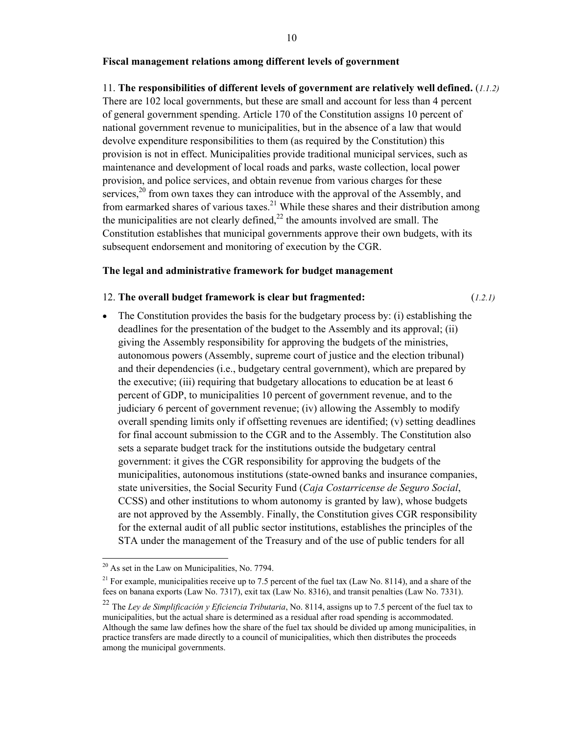## **Fiscal management relations among different levels of government**

## 11. **The responsibilities of different levels of government are relatively well defined.** (*1.1.2)*

There are 102 local governments, but these are small and account for less than 4 percent of general government spending. Article 170 of the Constitution assigns 10 percent of national government revenue to municipalities, but in the absence of a law that would devolve expenditure responsibilities to them (as required by the Constitution) this provision is not in effect. Municipalities provide traditional municipal services, such as maintenance and development of local roads and parks, waste collection, local power provision, and police services, and obtain revenue from various charges for these services,  $2^{0}$  from own taxes they can introduce with the approval of the Assembly, and from earmarked shares of various taxes.<sup>21</sup> While these shares and their distribution among the municipalities are not clearly defined, $^{22}$  the amounts involved are small. The Constitution establishes that municipal governments approve their own budgets, with its subsequent endorsement and monitoring of execution by the CGR.

#### **The legal and administrative framework for budget management**

#### 12. **The overall budget framework is clear but fragmented:** (*1.2.1)*

• The Constitution provides the basis for the budgetary process by: (i) establishing the deadlines for the presentation of the budget to the Assembly and its approval; (ii) giving the Assembly responsibility for approving the budgets of the ministries, autonomous powers (Assembly, supreme court of justice and the election tribunal) and their dependencies (i.e., budgetary central government), which are prepared by the executive; (iii) requiring that budgetary allocations to education be at least 6 percent of GDP, to municipalities 10 percent of government revenue, and to the judiciary 6 percent of government revenue; (iv) allowing the Assembly to modify overall spending limits only if offsetting revenues are identified; (v) setting deadlines for final account submission to the CGR and to the Assembly. The Constitution also sets a separate budget track for the institutions outside the budgetary central government: it gives the CGR responsibility for approving the budgets of the municipalities, autonomous institutions (state-owned banks and insurance companies, state universities, the Social Security Fund (*Caja Costarricense de Seguro Social*, CCSS) and other institutions to whom autonomy is granted by law), whose budgets are not approved by the Assembly. Finally, the Constitution gives CGR responsibility for the external audit of all public sector institutions, establishes the principles of the STA under the management of the Treasury and of the use of public tenders for all

  $20$  As set in the Law on Municipalities, No. 7794.

<sup>&</sup>lt;sup>21</sup> For example, municipalities receive up to 7.5 percent of the fuel tax (Law No. 8114), and a share of the fees on banana exports (Law No. 7317), exit tax (Law No. 8316), and transit penalties (Law No. 7331).

<sup>22</sup> The *Ley de Simplificación y Eficiencia Tributaria*, No. 8114, assigns up to 7.5 percent of the fuel tax to municipalities, but the actual share is determined as a residual after road spending is accommodated. Although the same law defines how the share of the fuel tax should be divided up among municipalities, in practice transfers are made directly to a council of municipalities, which then distributes the proceeds among the municipal governments.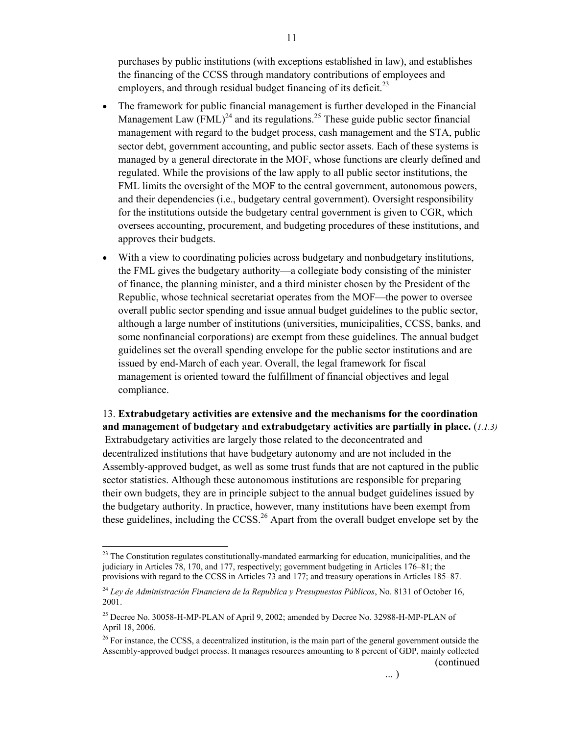purchases by public institutions (with exceptions established in law), and establishes the financing of the CCSS through mandatory contributions of employees and employers, and through residual budget financing of its deficit.<sup>23</sup>

- The framework for public financial management is further developed in the Financial Management Law  $(FML)^{24}$  and its regulations.<sup>25</sup> These guide public sector financial management with regard to the budget process, cash management and the STA, public sector debt, government accounting, and public sector assets. Each of these systems is managed by a general directorate in the MOF, whose functions are clearly defined and regulated. While the provisions of the law apply to all public sector institutions, the FML limits the oversight of the MOF to the central government, autonomous powers, and their dependencies (i.e., budgetary central government). Oversight responsibility for the institutions outside the budgetary central government is given to CGR, which oversees accounting, procurement, and budgeting procedures of these institutions, and approves their budgets.
- With a view to coordinating policies across budgetary and nonbudgetary institutions, the FML gives the budgetary authority—a collegiate body consisting of the minister of finance, the planning minister, and a third minister chosen by the President of the Republic, whose technical secretariat operates from the MOF—the power to oversee overall public sector spending and issue annual budget guidelines to the public sector, although a large number of institutions (universities, municipalities, CCSS, banks, and some nonfinancial corporations) are exempt from these guidelines. The annual budget guidelines set the overall spending envelope for the public sector institutions and are issued by end-March of each year. Overall, the legal framework for fiscal management is oriented toward the fulfillment of financial objectives and legal compliance.

13. **Extrabudgetary activities are extensive and the mechanisms for the coordination and management of budgetary and extrabudgetary activities are partially in place.** (*1.1.3)*  Extrabudgetary activities are largely those related to the deconcentrated and decentralized institutions that have budgetary autonomy and are not included in the Assembly-approved budget, as well as some trust funds that are not captured in the public sector statistics. Although these autonomous institutions are responsible for preparing their own budgets, they are in principle subject to the annual budget guidelines issued by the budgetary authority. In practice, however, many institutions have been exempt from these guidelines, including the CCSS.<sup>26</sup> Apart from the overall budget envelope set by the

 $2<sup>23</sup>$  The Constitution regulates constitutionally-mandated earmarking for education, municipalities, and the judiciary in Articles 78, 170, and 177, respectively; government budgeting in Articles 176–81; the provisions with regard to the CCSS in Articles 73 and 177; and treasury operations in Articles 185–87.

<sup>24</sup> *Ley de Administración Financiera de la Republica y Presupuestos Públicos*, No. 8131 of October 16, 2001.

 $^{25}$  Decree No. 30058-H-MP-PLAN of April 9, 2002; amended by Decree No. 32988-H-MP-PLAN of April 18, 2006.

 $^{26}$  For instance, the CCSS, a decentralized institution, is the main part of the general government outside the Assembly-approved budget process. It manages resources amounting to 8 percent of GDP, mainly collected (continued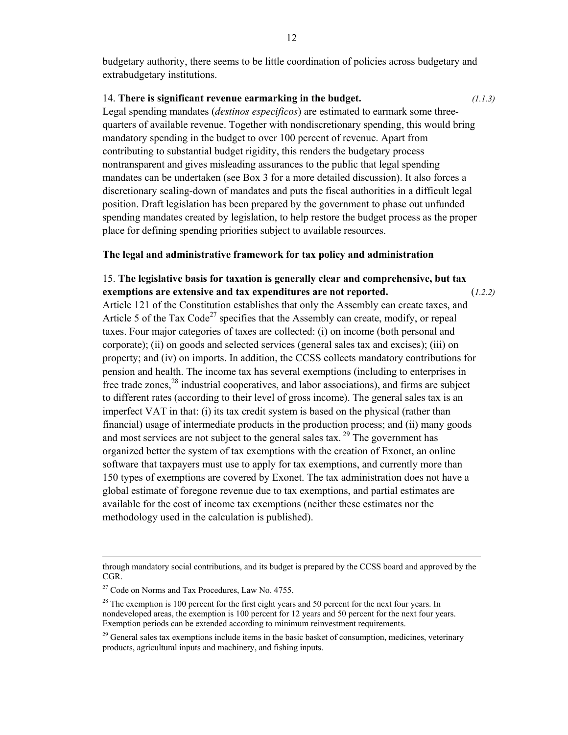budgetary authority, there seems to be little coordination of policies across budgetary and extrabudgetary institutions.

#### 14. **There is significant revenue earmarking in the budget.** *(1.1.3)*

Legal spending mandates (*destinos especificos*) are estimated to earmark some threequarters of available revenue. Together with nondiscretionary spending, this would bring mandatory spending in the budget to over 100 percent of revenue. Apart from contributing to substantial budget rigidity, this renders the budgetary process nontransparent and gives misleading assurances to the public that legal spending mandates can be undertaken (see Box 3 for a more detailed discussion). It also forces a discretionary scaling-down of mandates and puts the fiscal authorities in a difficult legal position. Draft legislation has been prepared by the government to phase out unfunded spending mandates created by legislation, to help restore the budget process as the proper place for defining spending priorities subject to available resources.

## **The legal and administrative framework for tax policy and administration**

15. **The legislative basis for taxation is generally clear and comprehensive, but tax exemptions are extensive and tax expenditures are not reported.** (*1.2.2)*  Article 121 of the Constitution establishes that only the Assembly can create taxes, and Article 5 of the Tax Code<sup>27</sup> specifies that the Assembly can create, modify, or repeal taxes. Four major categories of taxes are collected: (i) on income (both personal and corporate); (ii) on goods and selected services (general sales tax and excises); (iii) on property; and (iv) on imports. In addition, the CCSS collects mandatory contributions for pension and health. The income tax has several exemptions (including to enterprises in free trade zones,  $^{28}$  industrial cooperatives, and labor associations), and firms are subject to different rates (according to their level of gross income). The general sales tax is an imperfect VAT in that: (i) its tax credit system is based on the physical (rather than financial) usage of intermediate products in the production process; and (ii) many goods and most services are not subject to the general sales tax.  $^{29}$  The government has organized better the system of tax exemptions with the creation of Exonet, an online software that taxpayers must use to apply for tax exemptions, and currently more than 150 types of exemptions are covered by Exonet. The tax administration does not have a global estimate of foregone revenue due to tax exemptions, and partial estimates are available for the cost of income tax exemptions (neither these estimates nor the methodology used in the calculation is published).

through mandatory social contributions, and its budget is prepared by the CCSS board and approved by the CGR.

<sup>&</sup>lt;sup>27</sup> Code on Norms and Tax Procedures, Law No. 4755.

 $28$  The exemption is 100 percent for the first eight years and 50 percent for the next four years. In nondeveloped areas, the exemption is 100 percent for 12 years and 50 percent for the next four years. Exemption periods can be extended according to minimum reinvestment requirements.

 $29$  General sales tax exemptions include items in the basic basket of consumption, medicines, veterinary products, agricultural inputs and machinery, and fishing inputs.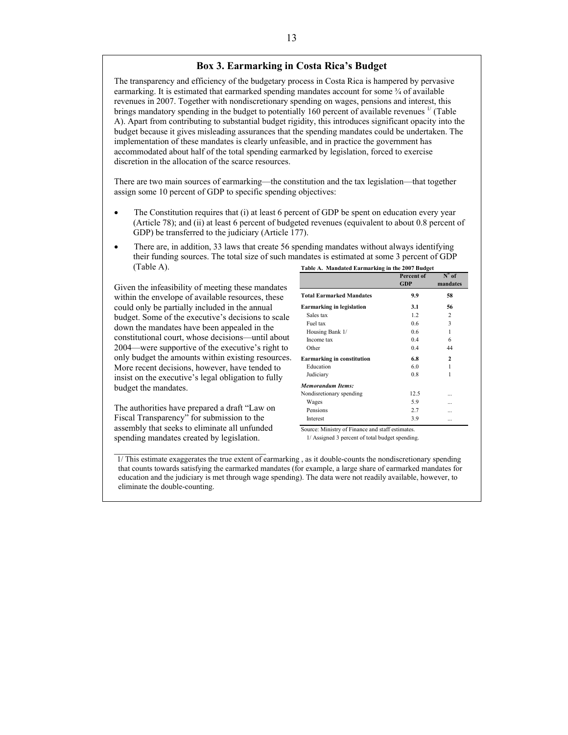#### **Box 3. Earmarking in Costa Rica's Budget**

The transparency and efficiency of the budgetary process in Costa Rica is hampered by pervasive earmarking. It is estimated that earmarked spending mandates account for some ¾ of available revenues in 2007. Together with nondiscretionary spending on wages, pensions and interest, this brings mandatory spending in the budget to potentially 160 percent of available revenues  $\frac{1}{1}$  (Table A). Apart from contributing to substantial budget rigidity, this introduces significant opacity into the budget because it gives misleading assurances that the spending mandates could be undertaken. The implementation of these mandates is clearly unfeasible, and in practice the government has accommodated about half of the total spending earmarked by legislation, forced to exercise discretion in the allocation of the scarce resources.

There are two main sources of earmarking—the constitution and the tax legislation—that together assign some 10 percent of GDP to specific spending objectives:

- The Constitution requires that (i) at least 6 percent of GDP be spent on education every year (Article 78); and (ii) at least 6 percent of budgeted revenues (equivalent to about 0.8 percent of GDP) be transferred to the judiciary (Article 177).
- There are, in addition, 33 laws that create 56 spending mandates without always identifying their funding sources. The total size of such mandates is estimated at some 3 percent of GDP (Table A).

Given the infeasibility of meeting these mandates within the envelope of available resources, these could only be partially included in the annual budget. Some of the executive's decisions to scale down the mandates have been appealed in the constitutional court, whose decisions—until about 2004—were supportive of the executive's right to only budget the amounts within existing resources. More recent decisions, however, have tended to insist on the executive's legal obligation to fully budget the mandates.

The authorities have prepared a draft "Law on Fiscal Transparency" for submission to the assembly that seeks to eliminate all unfunded spending mandates created by legislation.

 $\mathcal{L}_\text{max}$  , where  $\mathcal{L}_\text{max}$  and  $\mathcal{L}_\text{max}$ 

| Table A. Mandated Earmarking in the 2007 Budget |                          |                                       |
|-------------------------------------------------|--------------------------|---------------------------------------|
|                                                 | Percent of<br><b>GDP</b> | $\overline{N}^{\circ}$ of<br>mandates |
| <b>Total Earmarked Mandates</b>                 | 9.9                      | 58                                    |
| <b>Earmarking in legislation</b>                | 3.1                      | 56                                    |
| Sales tax                                       | 12                       | 2                                     |
| Fuel tax                                        | 06                       | 3                                     |
| Housing Bank 1/                                 | 06                       | 1                                     |
| Income tax                                      | 0.4                      | 6                                     |
| Other                                           | 0.4                      | 44                                    |
| <b>Earmarking in constitution</b>               | 6.8                      | 2                                     |
| Education                                       | 60                       | 1                                     |
| Judiciary                                       | 08                       | 1                                     |
| <b>Memorandum Items:</b>                        |                          |                                       |
| Nondisretionary spending                        | 12.5                     |                                       |
| Wages                                           | 5.9                      |                                       |
| Pensions                                        | 2.7                      | .                                     |
| Interest                                        | 3.9                      |                                       |

Source: Ministry of Finance and staff estimates.

1/ Assigned 3 percent of total budget spending.

1/ This estimate exaggerates the true extent of earmarking , as it double-counts the nondiscretionary spending that counts towards satisfying the earmarked mandates (for example, a large share of earmarked mandates for education and the judiciary is met through wage spending). The data were not readily available, however, to eliminate the double-counting.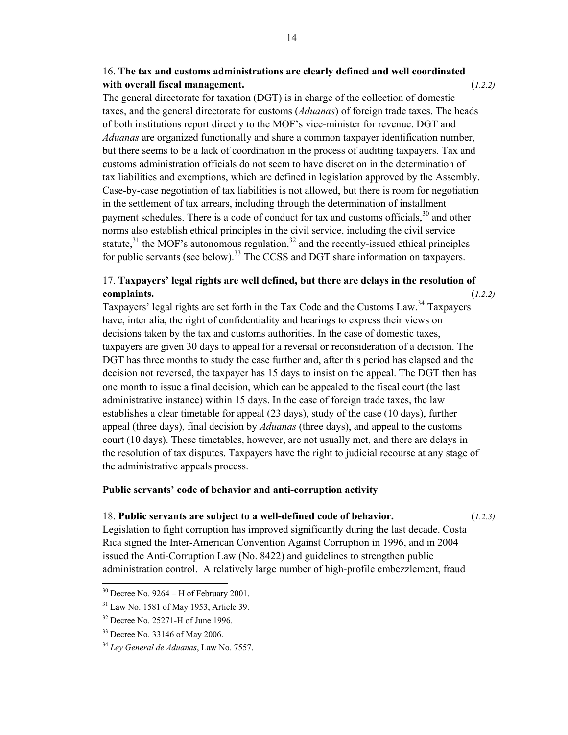# 16. **The tax and customs administrations are clearly defined and well coordinated with overall fiscal management.** (*1.2.2)*

The general directorate for taxation (DGT) is in charge of the collection of domestic taxes, and the general directorate for customs (*Aduanas*) of foreign trade taxes. The heads of both institutions report directly to the MOF's vice-minister for revenue. DGT and *Aduanas* are organized functionally and share a common taxpayer identification number, but there seems to be a lack of coordination in the process of auditing taxpayers. Tax and customs administration officials do not seem to have discretion in the determination of tax liabilities and exemptions, which are defined in legislation approved by the Assembly. Case-by-case negotiation of tax liabilities is not allowed, but there is room for negotiation in the settlement of tax arrears, including through the determination of installment payment schedules. There is a code of conduct for tax and customs officials,  $30$  and other norms also establish ethical principles in the civil service, including the civil service statute, $31$  the MOF's autonomous regulation, $32$  and the recently-issued ethical principles for public servants (see below).<sup>33</sup> The CCSS and DGT share information on taxpayers.

# 17. **Taxpayers' legal rights are well defined, but there are delays in the resolution of complaints.** (*1.2.2)*

Taxpayers' legal rights are set forth in the Tax Code and the Customs Law.<sup>34</sup> Taxpayers have, inter alia, the right of confidentiality and hearings to express their views on decisions taken by the tax and customs authorities. In the case of domestic taxes, taxpayers are given 30 days to appeal for a reversal or reconsideration of a decision. The DGT has three months to study the case further and, after this period has elapsed and the decision not reversed, the taxpayer has 15 days to insist on the appeal. The DGT then has one month to issue a final decision, which can be appealed to the fiscal court (the last administrative instance) within 15 days. In the case of foreign trade taxes, the law establishes a clear timetable for appeal (23 days), study of the case (10 days), further appeal (three days), final decision by *Aduanas* (three days), and appeal to the customs court (10 days). These timetables, however, are not usually met, and there are delays in the resolution of tax disputes. Taxpayers have the right to judicial recourse at any stage of the administrative appeals process.

## **Public servants' code of behavior and anti-corruption activity**

## 18. **Public servants are subject to a well-defined code of behavior.** (*1.2.3)*

Legislation to fight corruption has improved significantly during the last decade. Costa Rica signed the Inter-American Convention Against Corruption in 1996, and in 2004 issued the Anti-Corruption Law (No. 8422) and guidelines to strengthen public administration control. A relatively large number of high-profile embezzlement, fraud

 $30$  Decree No. 9264 – H of February 2001.

<sup>31</sup> Law No. 1581 of May 1953, Article 39.

<sup>32</sup> Decree No. 25271-H of June 1996.

<sup>33</sup> Decree No. 33146 of May 2006.

<sup>34</sup> *Ley General de Aduanas*, Law No. 7557.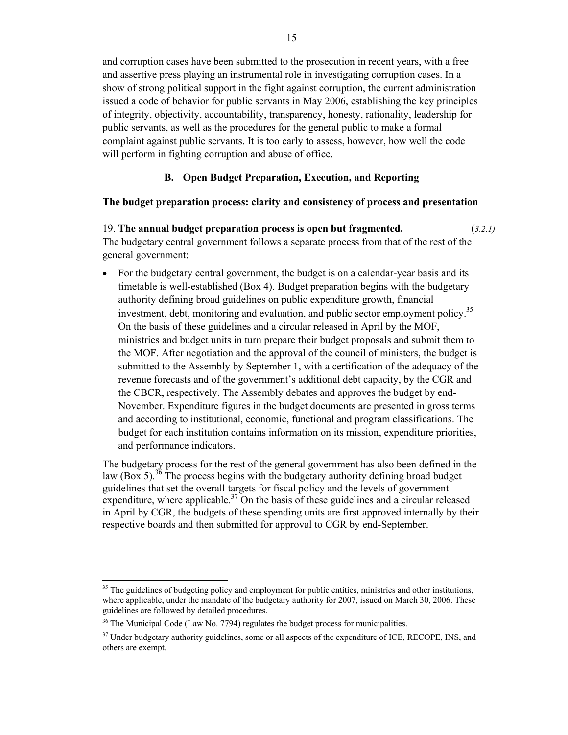and corruption cases have been submitted to the prosecution in recent years, with a free and assertive press playing an instrumental role in investigating corruption cases. In a show of strong political support in the fight against corruption, the current administration issued a code of behavior for public servants in May 2006, establishing the key principles of integrity, objectivity, accountability, transparency, honesty, rationality, leadership for public servants, as well as the procedures for the general public to make a formal complaint against public servants. It is too early to assess, however, how well the code will perform in fighting corruption and abuse of office.

## **B. Open Budget Preparation, Execution, and Reporting**

## **The budget preparation process: clarity and consistency of process and presentation**

19. **The annual budget preparation process is open but fragmented.** (*3.2.1)*  The budgetary central government follows a separate process from that of the rest of the general government:

• For the budgetary central government, the budget is on a calendar-year basis and its timetable is well-established (Box 4). Budget preparation begins with the budgetary authority defining broad guidelines on public expenditure growth, financial investment, debt, monitoring and evaluation, and public sector employment policy.<sup>35</sup> On the basis of these guidelines and a circular released in April by the MOF, ministries and budget units in turn prepare their budget proposals and submit them to the MOF. After negotiation and the approval of the council of ministers, the budget is submitted to the Assembly by September 1, with a certification of the adequacy of the revenue forecasts and of the government's additional debt capacity, by the CGR and the CBCR, respectively. The Assembly debates and approves the budget by end-November. Expenditure figures in the budget documents are presented in gross terms and according to institutional, economic, functional and program classifications. The budget for each institution contains information on its mission, expenditure priorities, and performance indicators.

The budgetary process for the rest of the general government has also been defined in the law (Box 5).<sup>36</sup> The process begins with the budgetary authority defining broad budget guidelines that set the overall targets for fiscal policy and the levels of government expenditure, where applicable.<sup>37</sup> On the basis of these guidelines and a circular released in April by CGR, the budgets of these spending units are first approved internally by their respective boards and then submitted for approval to CGR by end-September.

<sup>&</sup>lt;sup>35</sup> The guidelines of budgeting policy and employment for public entities, ministries and other institutions, where applicable, under the mandate of the budgetary authority for 2007, issued on March 30, 2006. These guidelines are followed by detailed procedures.

<sup>&</sup>lt;sup>36</sup> The Municipal Code (Law No. 7794) regulates the budget process for municipalities.

<sup>&</sup>lt;sup>37</sup> Under budgetary authority guidelines, some or all aspects of the expenditure of ICE, RECOPE, INS, and others are exempt.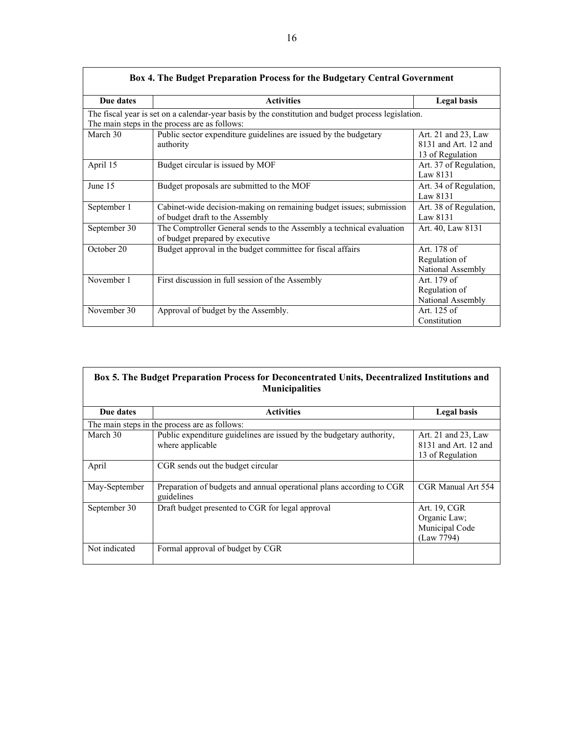|              | Box 4. The Budget Preparation Process for the Budgetary Central Government                                                                           |                                                                 |
|--------------|------------------------------------------------------------------------------------------------------------------------------------------------------|-----------------------------------------------------------------|
| Due dates    | <b>Activities</b>                                                                                                                                    | <b>Legal basis</b>                                              |
|              | The fiscal year is set on a calendar-year basis by the constitution and budget process legislation.<br>The main steps in the process are as follows: |                                                                 |
| March 30     | Public sector expenditure guidelines are issued by the budgetary<br>authority                                                                        | Art. 21 and 23, Law<br>8131 and Art. 12 and<br>13 of Regulation |
| April 15     | Budget circular is issued by MOF                                                                                                                     | Art. 37 of Regulation,<br>Law 8131                              |
| June 15      | Budget proposals are submitted to the MOF                                                                                                            | Art. 34 of Regulation,<br>Law 8131                              |
| September 1  | Cabinet-wide decision-making on remaining budget issues; submission<br>of budget draft to the Assembly                                               | Art. 38 of Regulation,<br>Law 8131                              |
| September 30 | The Comptroller General sends to the Assembly a technical evaluation<br>of budget prepared by executive                                              | Art. 40, Law 8131                                               |
| October 20   | Budget approval in the budget committee for fiscal affairs                                                                                           | Art. 178 of<br>Regulation of<br>National Assembly               |
| November 1   | First discussion in full session of the Assembly                                                                                                     | Art. 179 of<br>Regulation of<br>National Assembly               |
| November 30  | Approval of budget by the Assembly.                                                                                                                  | Art. 125 of<br>Constitution                                     |

| Box 5. The Budget Preparation Process for Deconcentrated Units, Decentralized Institutions and |
|------------------------------------------------------------------------------------------------|
| <b>Municipalities</b>                                                                          |

| Due dates     | <b>Activities</b>                                                                        | <b>Legal basis</b>                                              |
|---------------|------------------------------------------------------------------------------------------|-----------------------------------------------------------------|
|               | The main steps in the process are as follows:                                            |                                                                 |
| March 30      | Public expenditure guidelines are issued by the budgetary authority,<br>where applicable | Art. 21 and 23, Law<br>8131 and Art. 12 and<br>13 of Regulation |
| April         | CGR sends out the budget circular                                                        |                                                                 |
| May-September | Preparation of budgets and annual operational plans according to CGR<br>guidelines       | CGR Manual Art 554                                              |
| September 30  | Draft budget presented to CGR for legal approval                                         | Art. 19, CGR<br>Organic Law;<br>Municipal Code<br>(Law 7794)    |
| Not indicated | Formal approval of budget by CGR                                                         |                                                                 |

 $\mathcal{L}$ 

 $\sqrt{ }$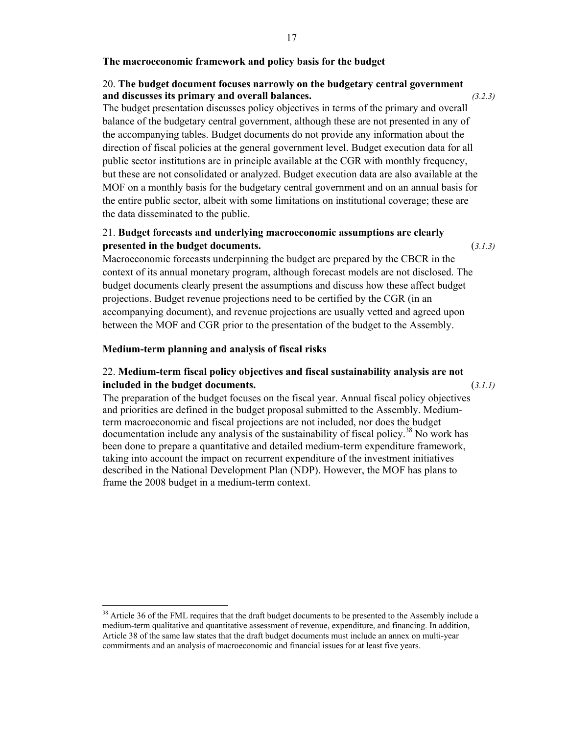## **The macroeconomic framework and policy basis for the budget**

## 20. **The budget document focuses narrowly on the budgetary central government and discusses its primary and overall balances.** *(3.2.3)*

The budget presentation discusses policy objectives in terms of the primary and overall balance of the budgetary central government, although these are not presented in any of the accompanying tables. Budget documents do not provide any information about the direction of fiscal policies at the general government level. Budget execution data for all public sector institutions are in principle available at the CGR with monthly frequency, but these are not consolidated or analyzed. Budget execution data are also available at the MOF on a monthly basis for the budgetary central government and on an annual basis for the entire public sector, albeit with some limitations on institutional coverage; these are the data disseminated to the public.

# 21. **Budget forecasts and underlying macroeconomic assumptions are clearly presented in the budget documents.** (*3.1.3)*

Macroeconomic forecasts underpinning the budget are prepared by the CBCR in the context of its annual monetary program, although forecast models are not disclosed. The budget documents clearly present the assumptions and discuss how these affect budget projections. Budget revenue projections need to be certified by the CGR (in an accompanying document), and revenue projections are usually vetted and agreed upon between the MOF and CGR prior to the presentation of the budget to the Assembly.

#### **Medium-term planning and analysis of fiscal risks**

# 22. **Medium-term fiscal policy objectives and fiscal sustainability analysis are not included in the budget documents.** (*3.1.1)*

The preparation of the budget focuses on the fiscal year. Annual fiscal policy objectives and priorities are defined in the budget proposal submitted to the Assembly. Mediumterm macroeconomic and fiscal projections are not included, nor does the budget documentation include any analysis of the sustainability of fiscal policy.<sup>38</sup> No work has been done to prepare a quantitative and detailed medium-term expenditure framework, taking into account the impact on recurrent expenditure of the investment initiatives described in the National Development Plan (NDP). However, the MOF has plans to frame the 2008 budget in a medium-term context.

<sup>&</sup>lt;sup>38</sup> Article 36 of the FML requires that the draft budget documents to be presented to the Assembly include a medium-term qualitative and quantitative assessment of revenue, expenditure, and financing. In addition, Article 38 of the same law states that the draft budget documents must include an annex on multi-year commitments and an analysis of macroeconomic and financial issues for at least five years.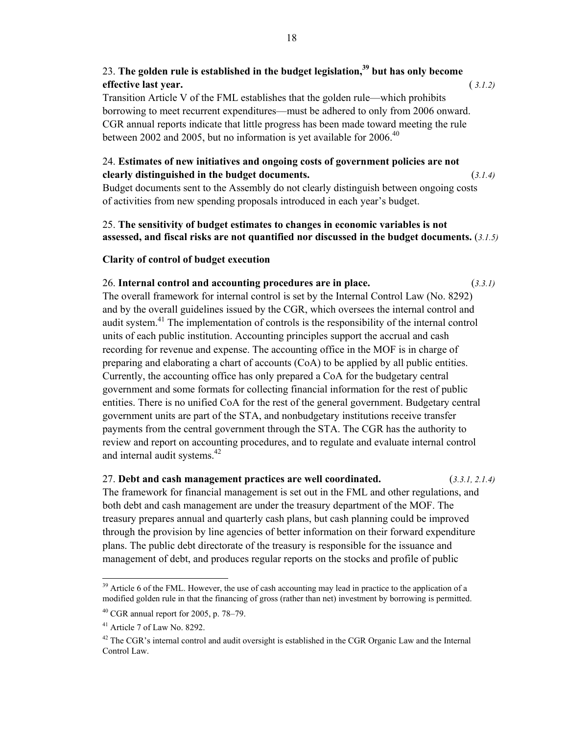# 23. **The golden rule is established in the budget legislation,39 but has only become effective last year.** ( *3.1.2)*

Transition Article V of the FML establishes that the golden rule—which prohibits borrowing to meet recurrent expenditures—must be adhered to only from 2006 onward. CGR annual reports indicate that little progress has been made toward meeting the rule between 2002 and 2005, but no information is yet available for 2006.<sup>40</sup>

# 24. **Estimates of new initiatives and ongoing costs of government policies are not clearly distinguished in the budget documents.** (*3.1.4)*

Budget documents sent to the Assembly do not clearly distinguish between ongoing costs of activities from new spending proposals introduced in each year's budget.

# 25. **The sensitivity of budget estimates to changes in economic variables is not assessed, and fiscal risks are not quantified nor discussed in the budget documents.** (*3.1.5)*

## **Clarity of control of budget execution**

# 26. **Internal control and accounting procedures are in place.** (*3.3.1)*

The overall framework for internal control is set by the Internal Control Law (No. 8292) and by the overall guidelines issued by the CGR, which oversees the internal control and audit system.<sup>41</sup> The implementation of controls is the responsibility of the internal control units of each public institution. Accounting principles support the accrual and cash recording for revenue and expense. The accounting office in the MOF is in charge of preparing and elaborating a chart of accounts (CoA) to be applied by all public entities. Currently, the accounting office has only prepared a CoA for the budgetary central government and some formats for collecting financial information for the rest of public entities. There is no unified CoA for the rest of the general government. Budgetary central government units are part of the STA, and nonbudgetary institutions receive transfer payments from the central government through the STA. The CGR has the authority to review and report on accounting procedures, and to regulate and evaluate internal control and internal audit systems.<sup>42</sup>

## 27. **Debt and cash management practices are well coordinated.** (*3.3.1, 2.1.4)*

The framework for financial management is set out in the FML and other regulations, and both debt and cash management are under the treasury department of the MOF. The treasury prepares annual and quarterly cash plans, but cash planning could be improved through the provision by line agencies of better information on their forward expenditure plans. The public debt directorate of the treasury is responsible for the issuance and management of debt, and produces regular reports on the stocks and profile of public

<sup>&</sup>lt;sup>39</sup> Article 6 of the FML. However, the use of cash accounting may lead in practice to the application of a modified golden rule in that the financing of gross (rather than net) investment by borrowing is permitted.

<sup>40</sup> CGR annual report for 2005, p. 78–79.

<sup>41</sup> Article 7 of Law No. 8292.

 $42$  The CGR's internal control and audit oversight is established in the CGR Organic Law and the Internal Control Law.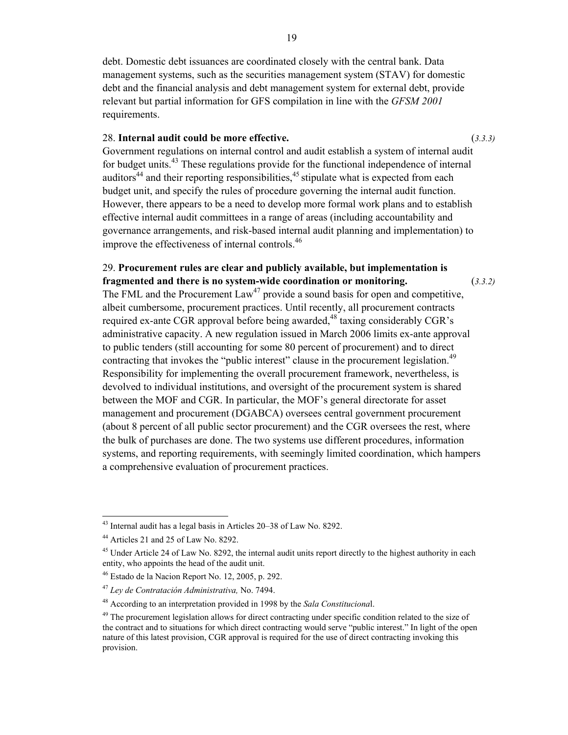debt. Domestic debt issuances are coordinated closely with the central bank. Data management systems, such as the securities management system (STAV) for domestic debt and the financial analysis and debt management system for external debt, provide relevant but partial information for GFS compilation in line with the *GFSM 2001* requirements.

## 28. **Internal audit could be more effective.** (*3.3.3)*

Government regulations on internal control and audit establish a system of internal audit for budget units.<sup>43</sup> These regulations provide for the functional independence of internal auditors<sup>44</sup> and their reporting responsibilities,  $45$  stipulate what is expected from each budget unit, and specify the rules of procedure governing the internal audit function. However, there appears to be a need to develop more formal work plans and to establish effective internal audit committees in a range of areas (including accountability and governance arrangements, and risk-based internal audit planning and implementation) to improve the effectiveness of internal controls.<sup>46</sup>

# 29. **Procurement rules are clear and publicly available, but implementation is fragmented and there is no system-wide coordination or monitoring.** (*3.3.2)*

The FML and the Procurement  $Law<sup>47</sup>$  provide a sound basis for open and competitive, albeit cumbersome, procurement practices. Until recently, all procurement contracts required ex-ante CGR approval before being awarded,  $48$  taxing considerably CGR's administrative capacity. A new regulation issued in March 2006 limits ex-ante approval to public tenders (still accounting for some 80 percent of procurement) and to direct contracting that invokes the "public interest" clause in the procurement legislation.<sup>49</sup> Responsibility for implementing the overall procurement framework, nevertheless, is devolved to individual institutions, and oversight of the procurement system is shared between the MOF and CGR. In particular, the MOF's general directorate for asset management and procurement (DGABCA) oversees central government procurement (about 8 percent of all public sector procurement) and the CGR oversees the rest, where the bulk of purchases are done. The two systems use different procedures, information systems, and reporting requirements, with seemingly limited coordination, which hampers a comprehensive evaluation of procurement practices.

<sup>43</sup> Internal audit has a legal basis in Articles 20–38 of Law No. 8292.

<sup>44</sup> Articles 21 and 25 of Law No. 8292.

<sup>&</sup>lt;sup>45</sup> Under Article 24 of Law No. 8292, the internal audit units report directly to the highest authority in each entity, who appoints the head of the audit unit.

 $46$  Estado de la Nacion Report No. 12, 2005, p. 292.

<sup>47</sup> *Ley de Contratación Administrativa,* No. 7494.

<sup>48</sup> According to an interpretation provided in 1998 by the *Sala Constituciona*l.

<sup>&</sup>lt;sup>49</sup> The procurement legislation allows for direct contracting under specific condition related to the size of the contract and to situations for which direct contracting would serve "public interest." In light of the open nature of this latest provision, CGR approval is required for the use of direct contracting invoking this provision.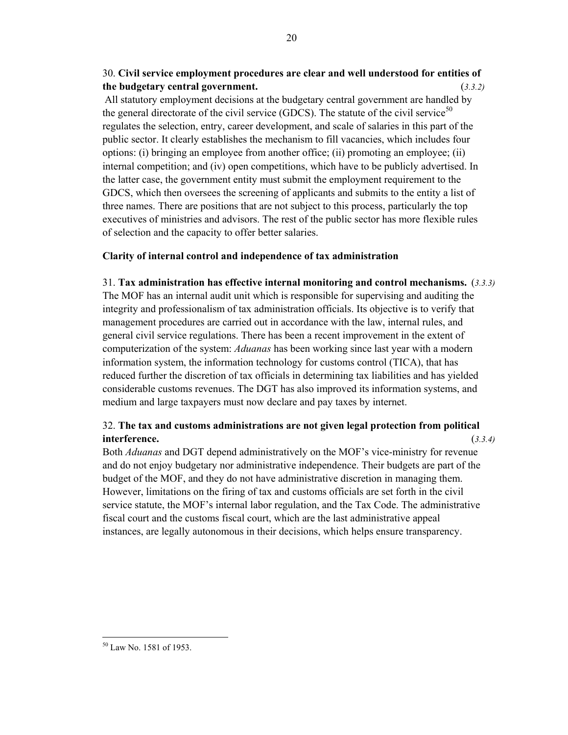# 30. **Civil service employment procedures are clear and well understood for entities of the budgetary central government.** (*3.3.2)*

All statutory employment decisions at the budgetary central government are handled by the general directorate of the civil service (GDCS). The statute of the civil service<sup>50</sup> regulates the selection, entry, career development, and scale of salaries in this part of the public sector. It clearly establishes the mechanism to fill vacancies, which includes four options: (i) bringing an employee from another office; (ii) promoting an employee; (ii) internal competition; and (iv) open competitions, which have to be publicly advertised. In the latter case, the government entity must submit the employment requirement to the GDCS, which then oversees the screening of applicants and submits to the entity a list of three names. There are positions that are not subject to this process, particularly the top executives of ministries and advisors. The rest of the public sector has more flexible rules of selection and the capacity to offer better salaries.

## **Clarity of internal control and independence of tax administration**

31. **Tax administration has effective internal monitoring and control mechanisms.** (*3.3.3)* The MOF has an internal audit unit which is responsible for supervising and auditing the integrity and professionalism of tax administration officials. Its objective is to verify that management procedures are carried out in accordance with the law, internal rules, and general civil service regulations. There has been a recent improvement in the extent of computerization of the system: *Aduanas* has been working since last year with a modern information system, the information technology for customs control (TICA), that has reduced further the discretion of tax officials in determining tax liabilities and has yielded considerable customs revenues. The DGT has also improved its information systems, and medium and large taxpayers must now declare and pay taxes by internet.

# 32. **The tax and customs administrations are not given legal protection from political interference.** (*3.3.4)*

Both *Aduanas* and DGT depend administratively on the MOF's vice-ministry for revenue and do not enjoy budgetary nor administrative independence. Their budgets are part of the budget of the MOF, and they do not have administrative discretion in managing them. However, limitations on the firing of tax and customs officials are set forth in the civil service statute, the MOF's internal labor regulation, and the Tax Code. The administrative fiscal court and the customs fiscal court, which are the last administrative appeal instances, are legally autonomous in their decisions, which helps ensure transparency.

 $\overline{a}$ 50 Law No. 1581 of 1953.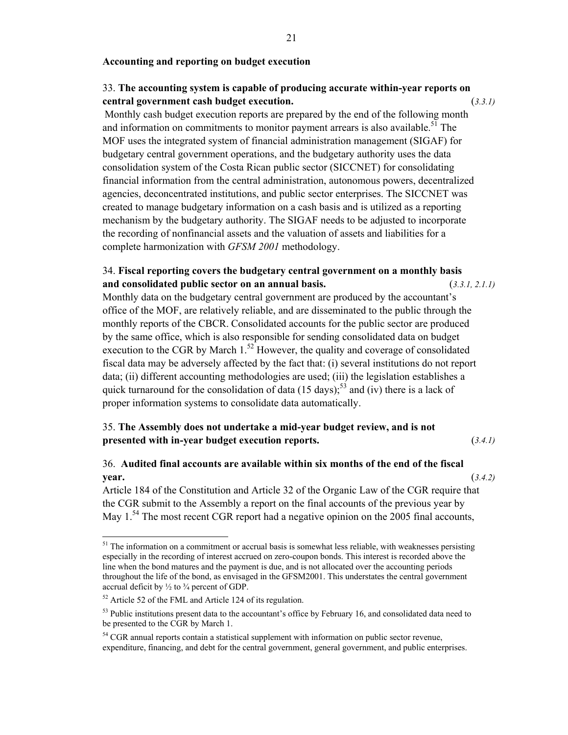#### **Accounting and reporting on budget execution**

# 33. **The accounting system is capable of producing accurate within-year reports on central government cash budget execution.** (*3.3.1)*

Monthly cash budget execution reports are prepared by the end of the following month and information on commitments to monitor payment arrears is also available.<sup>51</sup> The MOF uses the integrated system of financial administration management (SIGAF) for budgetary central government operations, and the budgetary authority uses the data consolidation system of the Costa Rican public sector (SICCNET) for consolidating financial information from the central administration, autonomous powers, decentralized agencies, deconcentrated institutions, and public sector enterprises. The SICCNET was created to manage budgetary information on a cash basis and is utilized as a reporting mechanism by the budgetary authority. The SIGAF needs to be adjusted to incorporate the recording of nonfinancial assets and the valuation of assets and liabilities for a complete harmonization with *GFSM 2001* methodology.

# 34. **Fiscal reporting covers the budgetary central government on a monthly basis and consolidated public sector on an annual basis.** (*3.3.1, 2.1.1)*

Monthly data on the budgetary central government are produced by the accountant's office of the MOF, are relatively reliable, and are disseminated to the public through the monthly reports of the CBCR. Consolidated accounts for the public sector are produced by the same office, which is also responsible for sending consolidated data on budget execution to the CGR by March  $1<sup>52</sup>$  However, the quality and coverage of consolidated fiscal data may be adversely affected by the fact that: (i) several institutions do not report data; (ii) different accounting methodologies are used; (iii) the legislation establishes a quick turnaround for the consolidation of data  $(15 \text{ days})$ ;<sup>53</sup> and (iv) there is a lack of proper information systems to consolidate data automatically.

# 35. **The Assembly does not undertake a mid-year budget review, and is not presented with in-year budget execution reports.** (*3.4.1)*

# 36. **Audited final accounts are available within six months of the end of the fiscal year.** (*3.4.2)*

Article 184 of the Constitution and Article 32 of the Organic Law of the CGR require that the CGR submit to the Assembly a report on the final accounts of the previous year by May  $1<sup>54</sup>$  The most recent CGR report had a negative opinion on the 2005 final accounts,

 $51$  The information on a commitment or accrual basis is somewhat less reliable, with weaknesses persisting especially in the recording of interest accrued on zero-coupon bonds. This interest is recorded above the line when the bond matures and the payment is due, and is not allocated over the accounting periods throughout the life of the bond, as envisaged in the GFSM2001. This understates the central government accrual deficit by  $\frac{1}{2}$  to  $\frac{3}{4}$  percent of GDP.

<sup>52</sup> Article 52 of the FML and Article 124 of its regulation.

<sup>&</sup>lt;sup>53</sup> Public institutions present data to the accountant's office by February 16, and consolidated data need to be presented to the CGR by March 1.

<sup>&</sup>lt;sup>54</sup> CGR annual reports contain a statistical supplement with information on public sector revenue, expenditure, financing, and debt for the central government, general government, and public enterprises.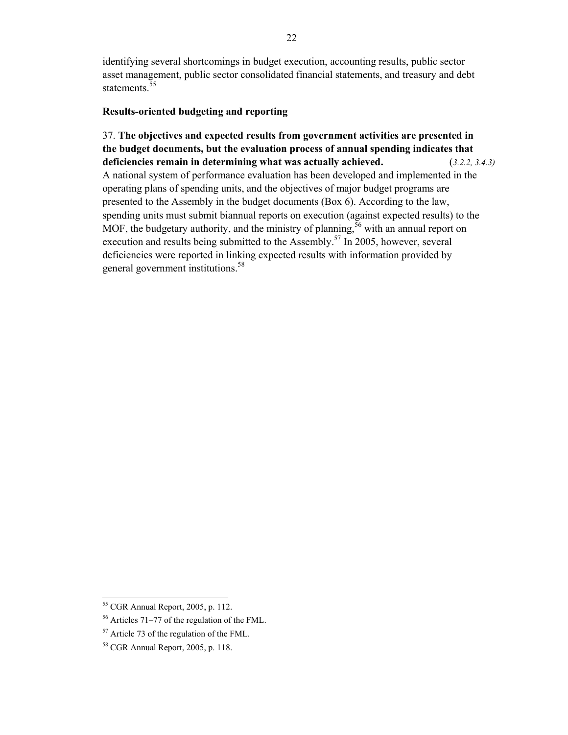identifying several shortcomings in budget execution, accounting results, public sector asset management, public sector consolidated financial statements, and treasury and debt statements.<sup>55</sup>

#### **Results-oriented budgeting and reporting**

37. **The objectives and expected results from government activities are presented in the budget documents, but the evaluation process of annual spending indicates that deficiencies remain in determining what was actually achieved.** (*3.2.2, 3.4.3)*  A national system of performance evaluation has been developed and implemented in the operating plans of spending units, and the objectives of major budget programs are presented to the Assembly in the budget documents (Box 6). According to the law, spending units must submit biannual reports on execution (against expected results) to the MOF, the budgetary authority, and the ministry of planning,  $56$  with an annual report on execution and results being submitted to the Assembly.<sup>57</sup> In 2005, however, several deficiencies were reported in linking expected results with information provided by general government institutions.<sup>58</sup>

<sup>55</sup> CGR Annual Report, 2005, p. 112.

<sup>56</sup> Articles 71–77 of the regulation of the FML.

<sup>57</sup> Article 73 of the regulation of the FML.

<sup>58</sup> CGR Annual Report, 2005, p. 118.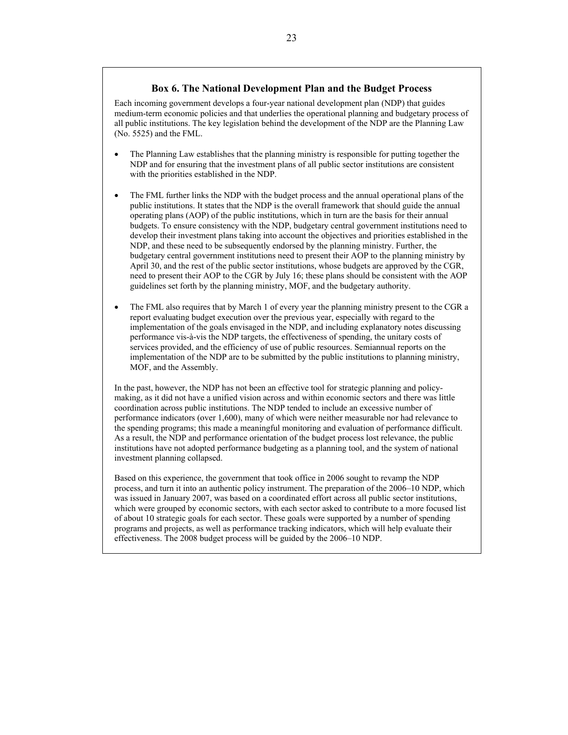#### **Box 6. The National Development Plan and the Budget Process**

Each incoming government develops a four-year national development plan (NDP) that guides medium-term economic policies and that underlies the operational planning and budgetary process of all public institutions. The key legislation behind the development of the NDP are the Planning Law (No. 5525) and the FML.

- The Planning Law establishes that the planning ministry is responsible for putting together the NDP and for ensuring that the investment plans of all public sector institutions are consistent with the priorities established in the NDP.
- The FML further links the NDP with the budget process and the annual operational plans of the public institutions. It states that the NDP is the overall framework that should guide the annual operating plans (AOP) of the public institutions, which in turn are the basis for their annual budgets. To ensure consistency with the NDP, budgetary central government institutions need to develop their investment plans taking into account the objectives and priorities established in the NDP, and these need to be subsequently endorsed by the planning ministry. Further, the budgetary central government institutions need to present their AOP to the planning ministry by April 30, and the rest of the public sector institutions, whose budgets are approved by the CGR, need to present their AOP to the CGR by July 16; these plans should be consistent with the AOP guidelines set forth by the planning ministry, MOF, and the budgetary authority.
- The FML also requires that by March 1 of every year the planning ministry present to the CGR a report evaluating budget execution over the previous year, especially with regard to the implementation of the goals envisaged in the NDP, and including explanatory notes discussing performance vis-à-vis the NDP targets, the effectiveness of spending, the unitary costs of services provided, and the efficiency of use of public resources. Semiannual reports on the implementation of the NDP are to be submitted by the public institutions to planning ministry, MOF, and the Assembly.

In the past, however, the NDP has not been an effective tool for strategic planning and policymaking, as it did not have a unified vision across and within economic sectors and there was little coordination across public institutions. The NDP tended to include an excessive number of performance indicators (over 1,600), many of which were neither measurable nor had relevance to the spending programs; this made a meaningful monitoring and evaluation of performance difficult. As a result, the NDP and performance orientation of the budget process lost relevance, the public institutions have not adopted performance budgeting as a planning tool, and the system of national investment planning collapsed.

Based on this experience, the government that took office in 2006 sought to revamp the NDP process, and turn it into an authentic policy instrument. The preparation of the 2006–10 NDP, which was issued in January 2007, was based on a coordinated effort across all public sector institutions, which were grouped by economic sectors, with each sector asked to contribute to a more focused list of about 10 strategic goals for each sector. These goals were supported by a number of spending programs and projects, as well as performance tracking indicators, which will help evaluate their effectiveness. The 2008 budget process will be guided by the 2006–10 NDP.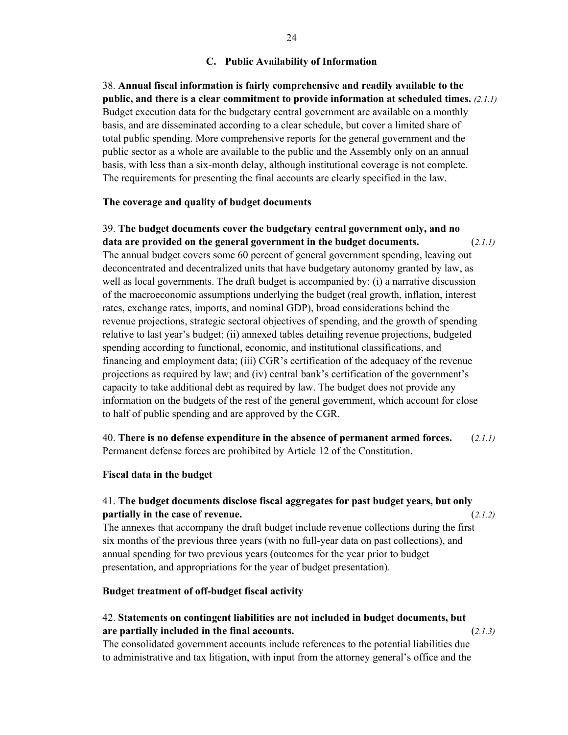#### **C. Public Availability of Information**

38. **Annual fiscal information is fairly comprehensive and readily available to the public, and there is a clear commitment to provide information at scheduled times.** *(2.1.1)* Budget execution data for the budgetary central government are available on a monthly basis, and are disseminated according to a clear schedule, but cover a limited share of total public spending. More comprehensive reports for the general government and the public sector as a whole are available to the public and the Assembly only on an annual basis, with less than a six-month delay, although institutional coverage is not complete. The requirements for presenting the final accounts are clearly specified in the law.

#### **The coverage and quality of budget documents**

39. **The budget documents cover the budgetary central government only, and no data are provided on the general government in the budget documents.** (*2.1.1)*  The annual budget covers some 60 percent of general government spending, leaving out deconcentrated and decentralized units that have budgetary autonomy granted by law, as well as local governments. The draft budget is accompanied by: (i) a narrative discussion of the macroeconomic assumptions underlying the budget (real growth, inflation, interest rates, exchange rates, imports, and nominal GDP), broad considerations behind the revenue projections, strategic sectoral objectives of spending, and the growth of spending relative to last year's budget; (ii) annexed tables detailing revenue projections, budgeted spending according to functional, economic, and institutional classifications, and financing and employment data; (iii) CGR's certification of the adequacy of the revenue projections as required by law; and (iv) central bank's certification of the government's capacity to take additional debt as required by law. The budget does not provide any information on the budgets of the rest of the general government, which account for close to half of public spending and are approved by the CGR.

40. **There is no defense expenditure in the absence of permanent armed forces.** (*2.1.1)*  Permanent defense forces are prohibited by Article 12 of the Constitution.

#### **Fiscal data in the budget**

## 41. **The budget documents disclose fiscal aggregates for past budget years, but only partially in the case of revenue.** (*2.1.2)*

The annexes that accompany the draft budget include revenue collections during the first six months of the previous three years (with no full-year data on past collections), and annual spending for two previous years (outcomes for the year prior to budget presentation, and appropriations for the year of budget presentation).

#### **Budget treatment of off-budget fiscal activity**

## 42. **Statements on contingent liabilities are not included in budget documents, but are partially included in the final accounts.** (*2.1.3)*

The consolidated government accounts include references to the potential liabilities due to administrative and tax litigation, with input from the attorney general's office and the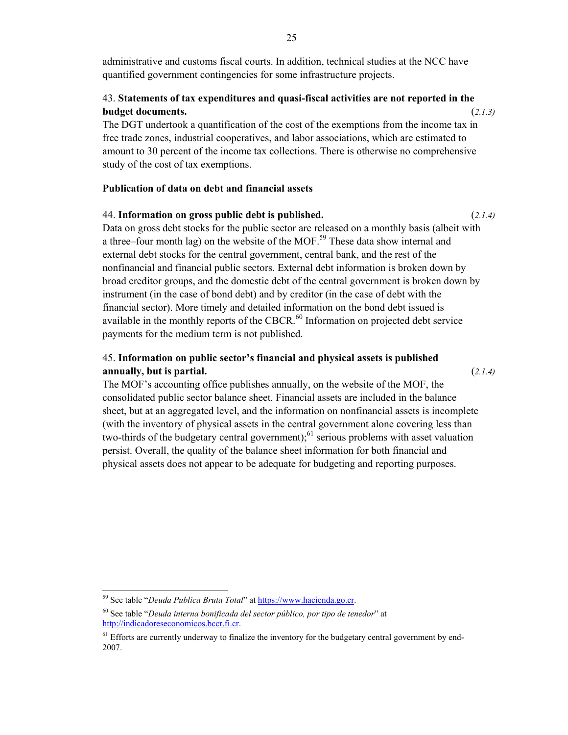administrative and customs fiscal courts. In addition, technical studies at the NCC have quantified government contingencies for some infrastructure projects.

# 43. **Statements of tax expenditures and quasi-fiscal activities are not reported in the budget documents.** (*2.1.3)*

The DGT undertook a quantification of the cost of the exemptions from the income tax in free trade zones, industrial cooperatives, and labor associations, which are estimated to amount to 30 percent of the income tax collections. There is otherwise no comprehensive study of the cost of tax exemptions.

## **Publication of data on debt and financial assets**

## 44. **Information on gross public debt is published.** (*2.1.4)*

Data on gross debt stocks for the public sector are released on a monthly basis (albeit with a three–four month lag) on the website of the MOF.<sup>59</sup> These data show internal and external debt stocks for the central government, central bank, and the rest of the nonfinancial and financial public sectors. External debt information is broken down by broad creditor groups, and the domestic debt of the central government is broken down by instrument (in the case of bond debt) and by creditor (in the case of debt with the financial sector). More timely and detailed information on the bond debt issued is available in the monthly reports of the CBCR.<sup>60</sup> Information on projected debt service payments for the medium term is not published.

# 45. **Information on public sector's financial and physical assets is published annually, but is partial.** (*2.1.4)*

The MOF's accounting office publishes annually, on the website of the MOF, the consolidated public sector balance sheet. Financial assets are included in the balance sheet, but at an aggregated level, and the information on nonfinancial assets is incomplete (with the inventory of physical assets in the central government alone covering less than two-thirds of the budgetary central government);<sup>61</sup> serious problems with asset valuation persist. Overall, the quality of the balance sheet information for both financial and physical assets does not appear to be adequate for budgeting and reporting purposes.

<sup>&</sup>lt;sup>59</sup> See table "*Deuda Publica Bruta Total*" at **https://www.hacienda.go.cr.** 

<sup>60</sup> See table "*Deuda interna bonificada del sector público, por tipo de tenedor*" at http://indicadoreseconomicos.bccr.fi.cr.

<sup>&</sup>lt;sup>61</sup> Efforts are currently underway to finalize the inventory for the budgetary central government by end-2007.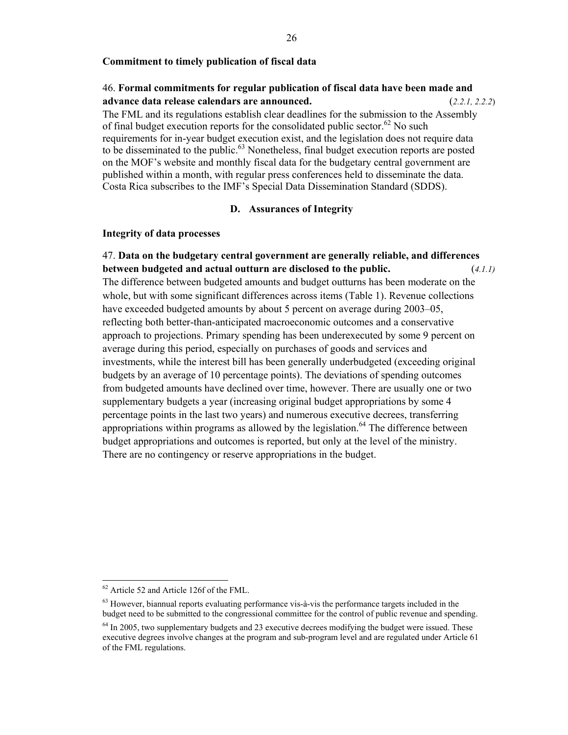#### **Commitment to timely publication of fiscal data**

# 46. **Formal commitments for regular publication of fiscal data have been made and advance data release calendars are announced.** (*2.2.1, 2.2.2*)

The FML and its regulations establish clear deadlines for the submission to the Assembly of final budget execution reports for the consolidated public sector.<sup>62</sup> No such requirements for in-year budget execution exist, and the legislation does not require data to be disseminated to the public.<sup>63</sup> Nonetheless, final budget execution reports are posted on the MOF's website and monthly fiscal data for the budgetary central government are published within a month, with regular press conferences held to disseminate the data. Costa Rica subscribes to the IMF's Special Data Dissemination Standard (SDDS).

## **D. Assurances of Integrity**

#### **Integrity of data processes**

47. **Data on the budgetary central government are generally reliable, and differences between budgeted and actual outturn are disclosed to the public.** (*4.1.1)* The difference between budgeted amounts and budget outturns has been moderate on the whole, but with some significant differences across items (Table 1). Revenue collections have exceeded budgeted amounts by about 5 percent on average during 2003–05, reflecting both better-than-anticipated macroeconomic outcomes and a conservative approach to projections. Primary spending has been underexecuted by some 9 percent on average during this period, especially on purchases of goods and services and investments, while the interest bill has been generally underbudgeted (exceeding original budgets by an average of 10 percentage points). The deviations of spending outcomes from budgeted amounts have declined over time, however. There are usually one or two supplementary budgets a year (increasing original budget appropriations by some 4 percentage points in the last two years) and numerous executive decrees, transferring appropriations within programs as allowed by the legislation.<sup>64</sup> The difference between budget appropriations and outcomes is reported, but only at the level of the ministry. There are no contingency or reserve appropriations in the budget.

<sup>62</sup> Article 52 and Article 126f of the FML.

 $63$  However, biannual reports evaluating performance vis-à-vis the performance targets included in the budget need to be submitted to the congressional committee for the control of public revenue and spending.

<sup>&</sup>lt;sup>64</sup> In 2005, two supplementary budgets and 23 executive decrees modifying the budget were issued. These executive degrees involve changes at the program and sub-program level and are regulated under Article 61 of the FML regulations.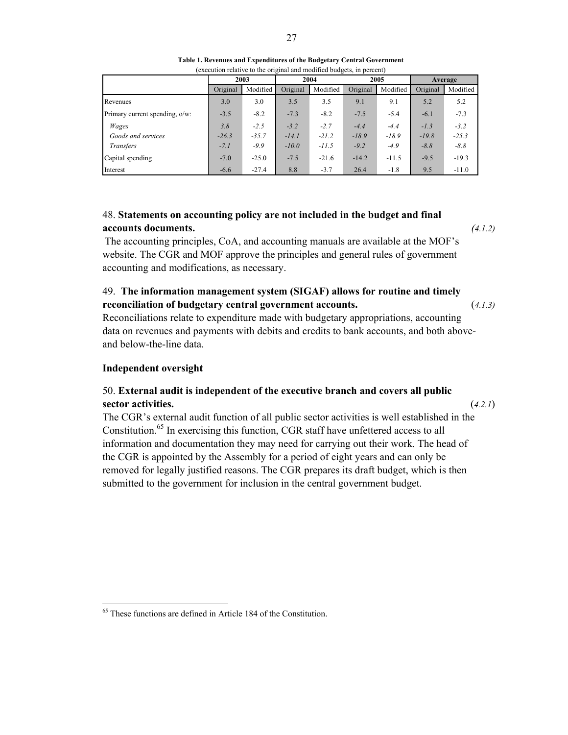|  |  |  |  |                                                                                                                                                     |  |  | Table 1. Revenues and Expenditures of the Budgetary Central Government |
|--|--|--|--|-----------------------------------------------------------------------------------------------------------------------------------------------------|--|--|------------------------------------------------------------------------|
|  |  |  |  | $\mathbf{1}$ , $\mathbf{1}$ , $\mathbf{1}$ , $\mathbf{1}$ , $\mathbf{1}$ , $\mathbf{1}$ , $\mathbf{1}$ , $\mathbf{1}$ , $\mathbf{1}$ , $\mathbf{1}$ |  |  |                                                                        |

|                                |          | (execution relative to the original and modified budgets, in percent) |          |          |          |          |          |          |
|--------------------------------|----------|-----------------------------------------------------------------------|----------|----------|----------|----------|----------|----------|
|                                |          | 2003                                                                  |          | 2004     |          | 2005     |          | Average  |
|                                | Original | Modified                                                              | Original | Modified | Original | Modified | Original | Modified |
| Revenues                       | 3.0      | 3.0                                                                   | 3.5      | 3.5      | 9.1      | 9.1      | 5.2      | 5.2      |
| Primary current spending, o/w: | $-3.5$   | $-8.2$                                                                | $-7.3$   | $-8.2$   | $-7.5$   | $-5.4$   | $-6.1$   | $-7.3$   |
| Wages                          | 3.8      | $-2.5$                                                                | $-3.2$   | $-2.7$   | $-4.4$   | $-4.4$   | $-I.3$   | $-3.2$   |
| Goods and services             | $-26.3$  | $-35.7$                                                               | $-14.1$  | $-21.2$  | $-18.9$  | $-18.9$  | $-19.8$  | $-25.3$  |
| Transfers                      | $-7.1$   | $-9.9$                                                                | $-10.0$  | $-11.5$  | $-9.2$   | $-4.9$   | $-8.8$   | $-8.8$   |
| Capital spending               | $-7.0$   | $-25.0$                                                               | $-7.5$   | $-21.6$  | $-14.2$  | $-11.5$  | $-9.5$   | $-19.3$  |
| Interest                       | $-6.6$   | $-27.4$                                                               | 8.8      | $-3.7$   | 26.4     | $-1.8$   | 9.5      | $-11.0$  |

# 48. **Statements on accounting policy are not included in the budget and final accounts documents.** *(4.1.2)*

The accounting principles, CoA, and accounting manuals are available at the MOF's website. The CGR and MOF approve the principles and general rules of government accounting and modifications, as necessary.

49. **The information management system (SIGAF) allows for routine and timely reconciliation of budgetary central government accounts.** (*4.1.3)* 

Reconciliations relate to expenditure made with budgetary appropriations, accounting data on revenues and payments with debits and credits to bank accounts, and both aboveand below-the-line data.

## **Independent oversight**

 $\overline{a}$ 

# 50. **External audit is independent of the executive branch and covers all public sector activities.** (*4.2.1*)

The CGR's external audit function of all public sector activities is well established in the Constitution.<sup>65</sup> In exercising this function, CGR staff have unfettered access to all information and documentation they may need for carrying out their work. The head of the CGR is appointed by the Assembly for a period of eight years and can only be removed for legally justified reasons. The CGR prepares its draft budget, which is then submitted to the government for inclusion in the central government budget.

<sup>&</sup>lt;sup>65</sup> These functions are defined in Article 184 of the Constitution.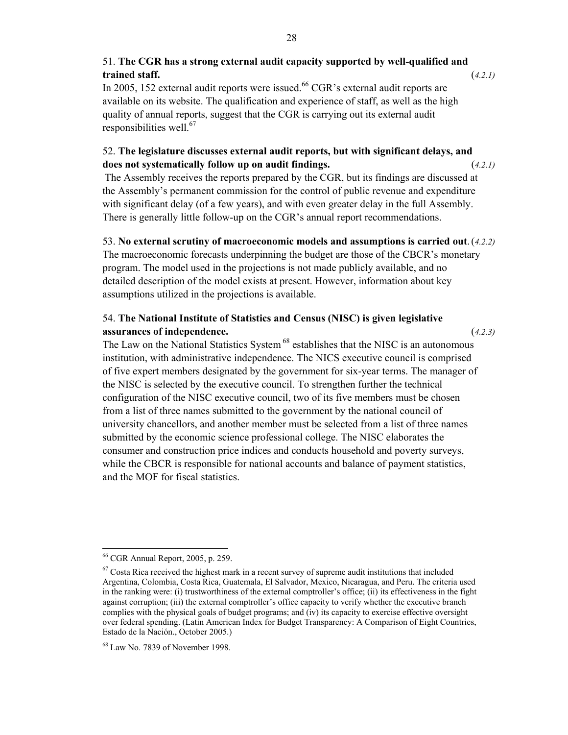# 51. **The CGR has a strong external audit capacity supported by well-qualified and trained staff.** (*4.2.1)*

In 2005, 152 external audit reports were issued.<sup>66</sup> CGR's external audit reports are available on its website. The qualification and experience of staff, as well as the high quality of annual reports, suggest that the CGR is carrying out its external audit responsibilities well. $67$ 

# 52. **The legislature discusses external audit reports, but with significant delays, and does not systematically follow up on audit findings.** (*4.2.1)*

The Assembly receives the reports prepared by the CGR, but its findings are discussed at the Assembly's permanent commission for the control of public revenue and expenditure with significant delay (of a few years), and with even greater delay in the full Assembly. There is generally little follow-up on the CGR's annual report recommendations.

## 53. **No external scrutiny of macroeconomic models and assumptions is carried out**. (*4.2.2)*

The macroeconomic forecasts underpinning the budget are those of the CBCR's monetary program. The model used in the projections is not made publicly available, and no detailed description of the model exists at present. However, information about key assumptions utilized in the projections is available.

# 54. **The National Institute of Statistics and Census (NISC) is given legislative assurances of independence.** (*4.2.3)*

The Law on the National Statistics System <sup>68</sup> establishes that the NISC is an autonomous institution, with administrative independence. The NICS executive council is comprised of five expert members designated by the government for six-year terms. The manager of the NISC is selected by the executive council. To strengthen further the technical configuration of the NISC executive council, two of its five members must be chosen from a list of three names submitted to the government by the national council of university chancellors, and another member must be selected from a list of three names submitted by the economic science professional college. The NISC elaborates the consumer and construction price indices and conducts household and poverty surveys, while the CBCR is responsible for national accounts and balance of payment statistics, and the MOF for fiscal statistics.

 $\overline{a}$ 66 CGR Annual Report, 2005, p. 259.

 $67$  Costa Rica received the highest mark in a recent survey of supreme audit institutions that included Argentina, Colombia, Costa Rica, Guatemala, El Salvador, Mexico, Nicaragua, and Peru. The criteria used in the ranking were: (i) trustworthiness of the external comptroller's office; (ii) its effectiveness in the fight against corruption; (iii) the external comptroller's office capacity to verify whether the executive branch complies with the physical goals of budget programs; and (iv) its capacity to exercise effective oversight over federal spending. (Latin American Index for Budget Transparency: A Comparison of Eight Countries, Estado de la Nación., October 2005.)

<sup>68</sup> Law No. 7839 of November 1998.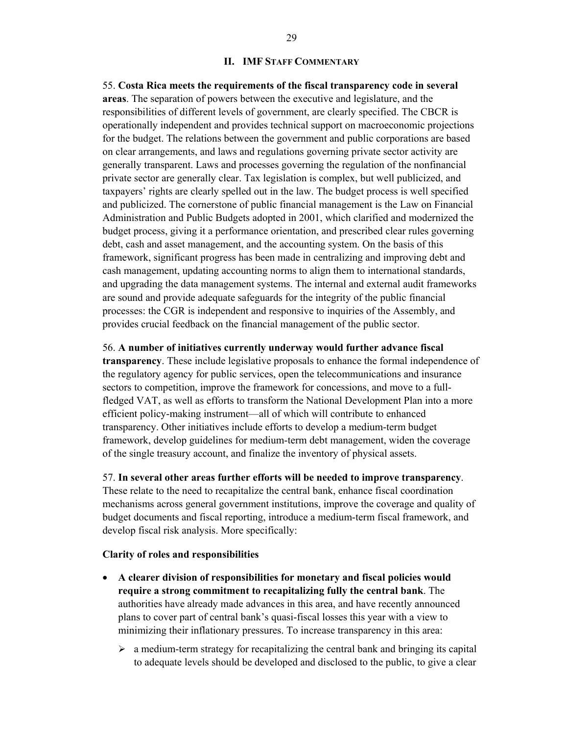#### **II. IMF STAFF COMMENTARY**

55. **Costa Rica meets the requirements of the fiscal transparency code in several areas**. The separation of powers between the executive and legislature, and the responsibilities of different levels of government, are clearly specified. The CBCR is operationally independent and provides technical support on macroeconomic projections for the budget. The relations between the government and public corporations are based on clear arrangements, and laws and regulations governing private sector activity are generally transparent. Laws and processes governing the regulation of the nonfinancial private sector are generally clear. Tax legislation is complex, but well publicized, and taxpayers' rights are clearly spelled out in the law. The budget process is well specified and publicized. The cornerstone of public financial management is the Law on Financial Administration and Public Budgets adopted in 2001, which clarified and modernized the budget process, giving it a performance orientation, and prescribed clear rules governing debt, cash and asset management, and the accounting system. On the basis of this framework, significant progress has been made in centralizing and improving debt and cash management, updating accounting norms to align them to international standards, and upgrading the data management systems. The internal and external audit frameworks are sound and provide adequate safeguards for the integrity of the public financial processes: the CGR is independent and responsive to inquiries of the Assembly, and provides crucial feedback on the financial management of the public sector.

#### 56. **A number of initiatives currently underway would further advance fiscal**

**transparency**. These include legislative proposals to enhance the formal independence of the regulatory agency for public services, open the telecommunications and insurance sectors to competition, improve the framework for concessions, and move to a fullfledged VAT, as well as efforts to transform the National Development Plan into a more efficient policy-making instrument—all of which will contribute to enhanced transparency. Other initiatives include efforts to develop a medium-term budget framework, develop guidelines for medium-term debt management, widen the coverage of the single treasury account, and finalize the inventory of physical assets.

#### 57. **In several other areas further efforts will be needed to improve transparency**.

These relate to the need to recapitalize the central bank, enhance fiscal coordination mechanisms across general government institutions, improve the coverage and quality of budget documents and fiscal reporting, introduce a medium-term fiscal framework, and develop fiscal risk analysis. More specifically:

#### **Clarity of roles and responsibilities**

- **A clearer division of responsibilities for monetary and fiscal policies would require a strong commitment to recapitalizing fully the central bank**. The authorities have already made advances in this area, and have recently announced plans to cover part of central bank's quasi-fiscal losses this year with a view to minimizing their inflationary pressures. To increase transparency in this area:
	- $\triangleright$  a medium-term strategy for recapitalizing the central bank and bringing its capital to adequate levels should be developed and disclosed to the public, to give a clear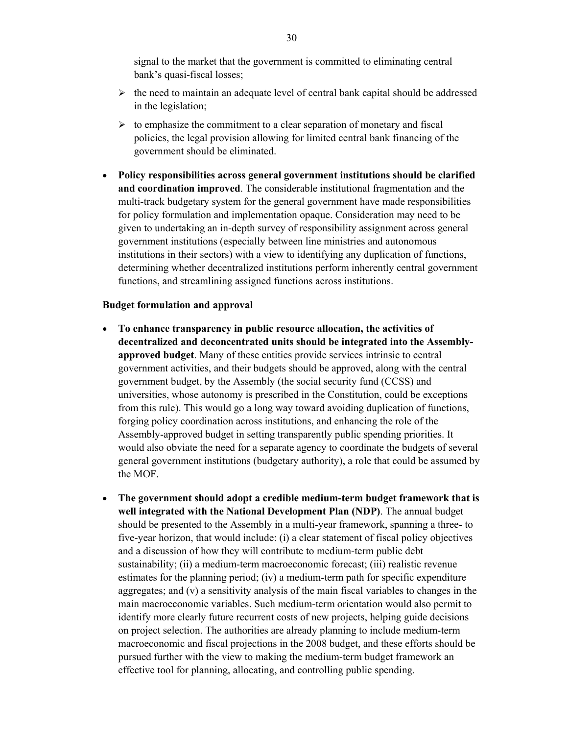signal to the market that the government is committed to eliminating central bank's quasi-fiscal losses;

- $\triangleright$  the need to maintain an adequate level of central bank capital should be addressed in the legislation;
- $\triangleright$  to emphasize the commitment to a clear separation of monetary and fiscal policies, the legal provision allowing for limited central bank financing of the government should be eliminated.
- **Policy responsibilities across general government institutions should be clarified and coordination improved**. The considerable institutional fragmentation and the multi-track budgetary system for the general government have made responsibilities for policy formulation and implementation opaque. Consideration may need to be given to undertaking an in-depth survey of responsibility assignment across general government institutions (especially between line ministries and autonomous institutions in their sectors) with a view to identifying any duplication of functions, determining whether decentralized institutions perform inherently central government functions, and streamlining assigned functions across institutions.

#### **Budget formulation and approval**

- **To enhance transparency in public resource allocation, the activities of decentralized and deconcentrated units should be integrated into the Assemblyapproved budget**. Many of these entities provide services intrinsic to central government activities, and their budgets should be approved, along with the central government budget, by the Assembly (the social security fund (CCSS) and universities, whose autonomy is prescribed in the Constitution, could be exceptions from this rule). This would go a long way toward avoiding duplication of functions, forging policy coordination across institutions, and enhancing the role of the Assembly-approved budget in setting transparently public spending priorities. It would also obviate the need for a separate agency to coordinate the budgets of several general government institutions (budgetary authority), a role that could be assumed by the MOF.
- **The government should adopt a credible medium-term budget framework that is well integrated with the National Development Plan (NDP)**. The annual budget should be presented to the Assembly in a multi-year framework, spanning a three- to five-year horizon, that would include: (i) a clear statement of fiscal policy objectives and a discussion of how they will contribute to medium-term public debt sustainability; (ii) a medium-term macroeconomic forecast; (iii) realistic revenue estimates for the planning period; (iv) a medium-term path for specific expenditure aggregates; and (v) a sensitivity analysis of the main fiscal variables to changes in the main macroeconomic variables. Such medium-term orientation would also permit to identify more clearly future recurrent costs of new projects, helping guide decisions on project selection. The authorities are already planning to include medium-term macroeconomic and fiscal projections in the 2008 budget, and these efforts should be pursued further with the view to making the medium-term budget framework an effective tool for planning, allocating, and controlling public spending.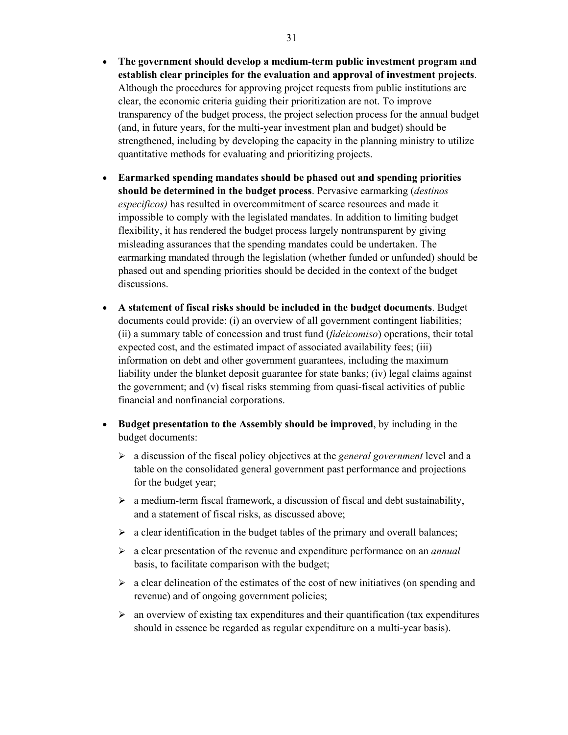- **The government should develop a medium-term public investment program and establish clear principles for the evaluation and approval of investment projects**. Although the procedures for approving project requests from public institutions are clear, the economic criteria guiding their prioritization are not. To improve transparency of the budget process, the project selection process for the annual budget (and, in future years, for the multi-year investment plan and budget) should be strengthened, including by developing the capacity in the planning ministry to utilize quantitative methods for evaluating and prioritizing projects.
- **Earmarked spending mandates should be phased out and spending priorities should be determined in the budget process**. Pervasive earmarking (*destinos especificos)* has resulted in overcommitment of scarce resources and made it impossible to comply with the legislated mandates. In addition to limiting budget flexibility, it has rendered the budget process largely nontransparent by giving misleading assurances that the spending mandates could be undertaken. The earmarking mandated through the legislation (whether funded or unfunded) should be phased out and spending priorities should be decided in the context of the budget discussions.
- **A statement of fiscal risks should be included in the budget documents**. Budget documents could provide: (i) an overview of all government contingent liabilities; (ii) a summary table of concession and trust fund (*fideicomiso*) operations, their total expected cost, and the estimated impact of associated availability fees; (iii) information on debt and other government guarantees, including the maximum liability under the blanket deposit guarantee for state banks; (iv) legal claims against the government; and (v) fiscal risks stemming from quasi-fiscal activities of public financial and nonfinancial corporations.
- **Budget presentation to the Assembly should be improved**, by including in the budget documents:
	- ¾ a discussion of the fiscal policy objectives at the *general government* level and a table on the consolidated general government past performance and projections for the budget year;
	- $\triangleright$  a medium-term fiscal framework, a discussion of fiscal and debt sustainability, and a statement of fiscal risks, as discussed above;
	- $\triangleright$  a clear identification in the budget tables of the primary and overall balances;
	- ¾ a clear presentation of the revenue and expenditure performance on an *annual* basis, to facilitate comparison with the budget;
	- $\triangleright$  a clear delineation of the estimates of the cost of new initiatives (on spending and revenue) and of ongoing government policies;
	- $\triangleright$  an overview of existing tax expenditures and their quantification (tax expenditures should in essence be regarded as regular expenditure on a multi-year basis).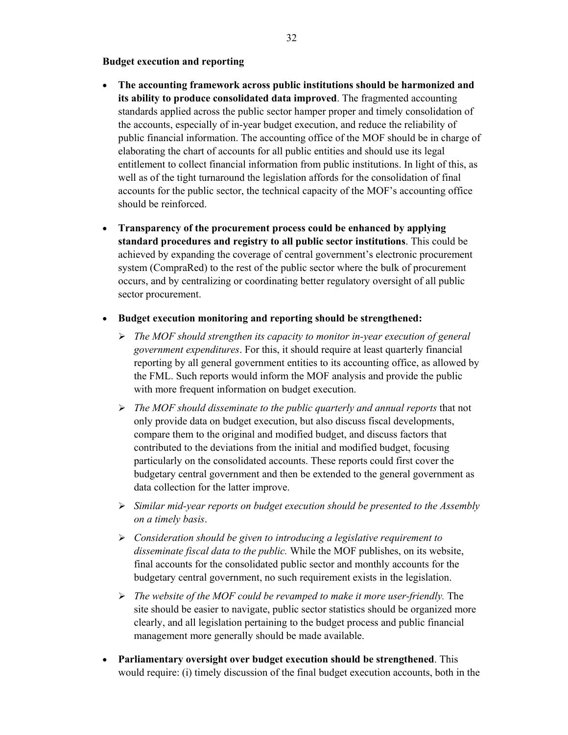#### **Budget execution and reporting**

- **The accounting framework across public institutions should be harmonized and its ability to produce consolidated data improved**. The fragmented accounting standards applied across the public sector hamper proper and timely consolidation of the accounts, especially of in-year budget execution, and reduce the reliability of public financial information. The accounting office of the MOF should be in charge of elaborating the chart of accounts for all public entities and should use its legal entitlement to collect financial information from public institutions. In light of this, as well as of the tight turnaround the legislation affords for the consolidation of final accounts for the public sector, the technical capacity of the MOF's accounting office should be reinforced.
- **Transparency of the procurement process could be enhanced by applying standard procedures and registry to all public sector institutions**. This could be achieved by expanding the coverage of central government's electronic procurement system (CompraRed) to the rest of the public sector where the bulk of procurement occurs, and by centralizing or coordinating better regulatory oversight of all public sector procurement.
- **Budget execution monitoring and reporting should be strengthened:**
	- ¾ *The MOF should strengthen its capacity to monitor in-year execution of general government expenditures*. For this, it should require at least quarterly financial reporting by all general government entities to its accounting office, as allowed by the FML. Such reports would inform the MOF analysis and provide the public with more frequent information on budget execution.
	- ¾ *The MOF should disseminate to the public quarterly and annual reports* that not only provide data on budget execution, but also discuss fiscal developments, compare them to the original and modified budget, and discuss factors that contributed to the deviations from the initial and modified budget, focusing particularly on the consolidated accounts. These reports could first cover the budgetary central government and then be extended to the general government as data collection for the latter improve.
	- ¾ *Similar mid-year reports on budget execution should be presented to the Assembly on a timely basis*.
	- ¾ *Consideration should be given to introducing a legislative requirement to disseminate fiscal data to the public.* While the MOF publishes, on its website, final accounts for the consolidated public sector and monthly accounts for the budgetary central government, no such requirement exists in the legislation.
	- ¾ *The website of the MOF could be revamped to make it more user-friendly.* The site should be easier to navigate, public sector statistics should be organized more clearly, and all legislation pertaining to the budget process and public financial management more generally should be made available.
- **Parliamentary oversight over budget execution should be strengthened**. This would require: (i) timely discussion of the final budget execution accounts, both in the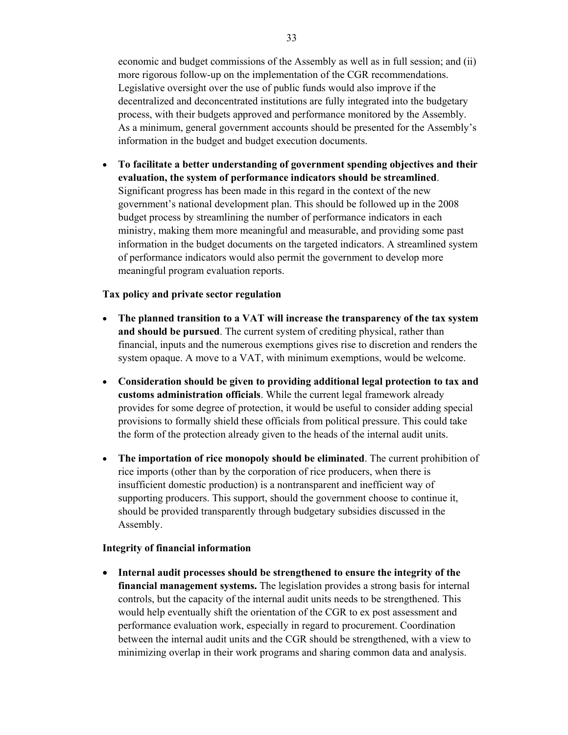economic and budget commissions of the Assembly as well as in full session; and (ii) more rigorous follow-up on the implementation of the CGR recommendations. Legislative oversight over the use of public funds would also improve if the decentralized and deconcentrated institutions are fully integrated into the budgetary process, with their budgets approved and performance monitored by the Assembly. As a minimum, general government accounts should be presented for the Assembly's information in the budget and budget execution documents.

• **To facilitate a better understanding of government spending objectives and their evaluation, the system of performance indicators should be streamlined**. Significant progress has been made in this regard in the context of the new government's national development plan. This should be followed up in the 2008 budget process by streamlining the number of performance indicators in each ministry, making them more meaningful and measurable, and providing some past information in the budget documents on the targeted indicators. A streamlined system of performance indicators would also permit the government to develop more meaningful program evaluation reports.

#### **Tax policy and private sector regulation**

- **The planned transition to a VAT will increase the transparency of the tax system and should be pursued**. The current system of crediting physical, rather than financial, inputs and the numerous exemptions gives rise to discretion and renders the system opaque. A move to a VAT, with minimum exemptions, would be welcome.
- **Consideration should be given to providing additional legal protection to tax and customs administration officials**. While the current legal framework already provides for some degree of protection, it would be useful to consider adding special provisions to formally shield these officials from political pressure. This could take the form of the protection already given to the heads of the internal audit units.
- **The importation of rice monopoly should be eliminated**. The current prohibition of rice imports (other than by the corporation of rice producers, when there is insufficient domestic production) is a nontransparent and inefficient way of supporting producers. This support, should the government choose to continue it, should be provided transparently through budgetary subsidies discussed in the Assembly.

#### **Integrity of financial information**

• **Internal audit processes should be strengthened to ensure the integrity of the financial management systems.** The legislation provides a strong basis for internal controls, but the capacity of the internal audit units needs to be strengthened. This would help eventually shift the orientation of the CGR to ex post assessment and performance evaluation work, especially in regard to procurement. Coordination between the internal audit units and the CGR should be strengthened, with a view to minimizing overlap in their work programs and sharing common data and analysis.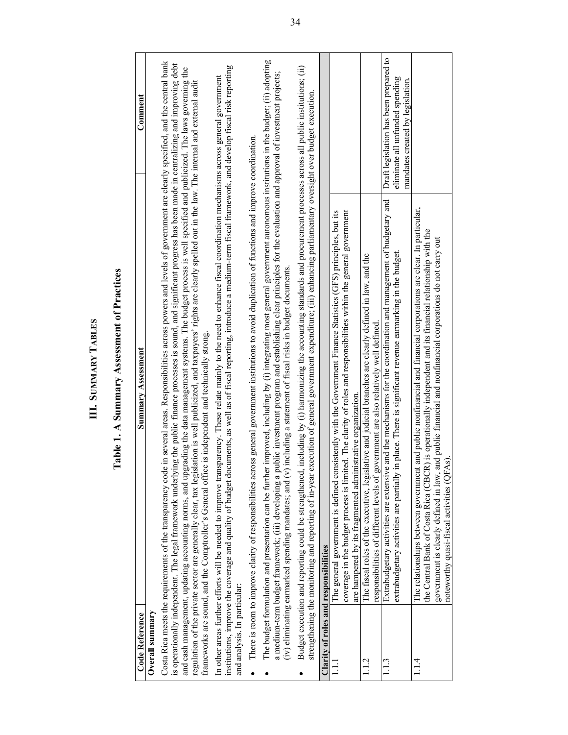|                                       | Table 1. A Summary Assessment of Practices                                                                                                                                                                                                                                                                                                                                                                                                                                  |                                                                           |
|---------------------------------------|-----------------------------------------------------------------------------------------------------------------------------------------------------------------------------------------------------------------------------------------------------------------------------------------------------------------------------------------------------------------------------------------------------------------------------------------------------------------------------|---------------------------------------------------------------------------|
| Code Reference                        | <b>Summary Assessment</b>                                                                                                                                                                                                                                                                                                                                                                                                                                                   | Comment                                                                   |
| Overall summary                       |                                                                                                                                                                                                                                                                                                                                                                                                                                                                             |                                                                           |
|                                       | in several areas. Responsibilities across powers and levels of government are clearly specified, and the central bank<br>Costa Rica meets the requirements of the transparency code                                                                                                                                                                                                                                                                                         |                                                                           |
|                                       | is operationally independent. The legal framework underlying the public finance processes is sound, and significant progress has been made in centralizing and improving debt                                                                                                                                                                                                                                                                                               |                                                                           |
|                                       | and cash management, updating accounting norms, and upgrading the data management systems. The budget process is well specified and publicized. The laws governing the<br>regulation of the private sector are generally clear, tax legislation is well publicized, and taxpayers' rights are clearly spelled out in the law. The internal and external audit                                                                                                               |                                                                           |
|                                       | frameworks are sound, and the Comptroller's General office is independent and technically strong.                                                                                                                                                                                                                                                                                                                                                                           |                                                                           |
| and analysis. In particular:          | institutions, improve the coverage and quality of budget documents, as well as of fiscal reporting, introduce a medium-term fiscal framework, and develop fiscal risk reporting<br>In other areas further efforts will be needed to improve transparency. These relate mainly to the need to enhance fiscal coordination mechanisms across general government                                                                                                               |                                                                           |
|                                       | There is room to improve clarity of responsibilities across general government institutions to avoid duplication of functions and improve coordination.                                                                                                                                                                                                                                                                                                                     |                                                                           |
|                                       | The budget formulation and presentation can be further improved, including by (i) integrating most general government autonomous institutions in the budget; (ii) adopting<br>a medium-term budget framework; (iii) developing a public investment program and establishing clear principles for the evaluation and approval of investment projects;<br>including a statement of fiscal risks in budget documents.<br>(iv) eliminating earmarked spending mandates; and (v) |                                                                           |
|                                       |                                                                                                                                                                                                                                                                                                                                                                                                                                                                             |                                                                           |
| ٠                                     | including by (i) harmonizing the accounting standards and procurement processes across all public institutions; (ii)<br>strengthening the monitoring and reporting of in-year execution of general government expenditure; (iii) enhancing parliamentary oversight over budget execution.<br>Budget execution and reporting could be strengthened,                                                                                                                          |                                                                           |
| Clarity of roles and responsibilities |                                                                                                                                                                                                                                                                                                                                                                                                                                                                             |                                                                           |
|                                       | The general government is defined consistently with the Government Finance Statistics (GFS) principles, but its                                                                                                                                                                                                                                                                                                                                                             |                                                                           |
|                                       | coverage in the budget process is limited. The clarity of roles and responsibilities within the general government<br>are hampered by its fragmented administrative organization.                                                                                                                                                                                                                                                                                           |                                                                           |
| 1.1.2                                 | The fiscal roles of the executive, legislative and judicial branches are clearly defined in law, and the                                                                                                                                                                                                                                                                                                                                                                    |                                                                           |
|                                       | responsibilities of different levels of government are also relatively well defined                                                                                                                                                                                                                                                                                                                                                                                         |                                                                           |
| 1.1.3                                 | and the mechanisms for the coordination and management of budgetary and<br>in place. There is significant revenue earmarking in the budget.<br>Extrabudgetary activities are extensive<br>extrabudgetary activities are partially                                                                                                                                                                                                                                           | Draft legislation has been prepared to<br>eliminate all unfunded spending |
|                                       |                                                                                                                                                                                                                                                                                                                                                                                                                                                                             | mandates created by legislation.                                          |
| 1.14                                  | and public nonfinancial and financial corporations are clear. In particular,<br>the Central Bank of Costa Rica (CBCR) is operationally independent and its financial relationship with the<br>The relationships between government                                                                                                                                                                                                                                          |                                                                           |
|                                       | government is clearly defined in law, and public financial and nonfinancial corporations do not carry out                                                                                                                                                                                                                                                                                                                                                                   |                                                                           |
|                                       | noteworthy quasi-fiscal activities (QFAs)                                                                                                                                                                                                                                                                                                                                                                                                                                   |                                                                           |

**III. SUMMARY TABLES**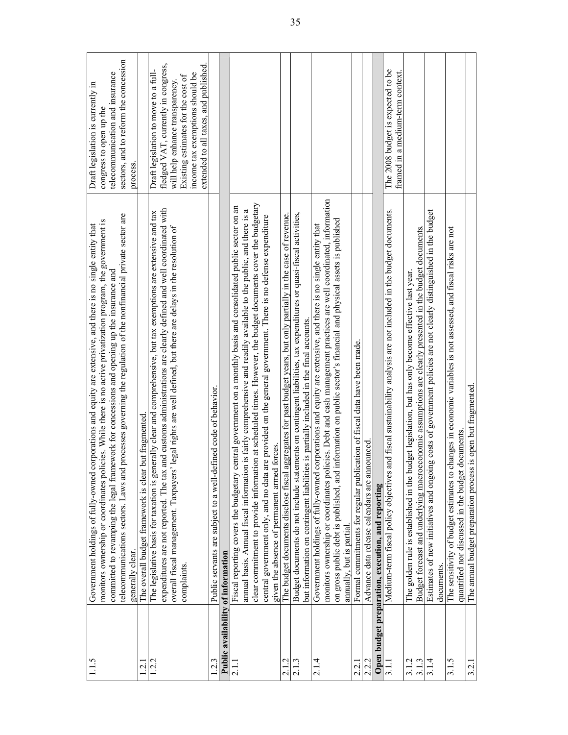| 1.15                               | telecommunications sectors. Laws and processes governing the regulation of the nonfinancial private sector are<br>monitors ownership or coordinates policies. While there is no active privatization program, the government is<br>Government holdings of fully-owned corporations and equity are extensive, and there is no single entity that<br>committed to revamping the legal framework for concessions and opening up the insurance and<br>generally clear.                                                            | sectors, and to reform the concession<br>telecommunication and insurance<br>Draft legislation is currently in<br>congress to open up the<br>process.                                                                           |
|------------------------------------|-------------------------------------------------------------------------------------------------------------------------------------------------------------------------------------------------------------------------------------------------------------------------------------------------------------------------------------------------------------------------------------------------------------------------------------------------------------------------------------------------------------------------------|--------------------------------------------------------------------------------------------------------------------------------------------------------------------------------------------------------------------------------|
| $\overline{2.1}$                   | but fragmented<br>The overall budget framework is clear                                                                                                                                                                                                                                                                                                                                                                                                                                                                       |                                                                                                                                                                                                                                |
| 12.2                               | and customs administrations are clearly defined and well coordinated with<br>The legislative basis for taxation is generally clear and comprehensive, but tax exemptions are extensive and tax<br>overall fiscal management. Taxpayers' legal rights are well defined, but there are delays in the resolution of<br>expenditures are not reported. The tax<br>complaints.                                                                                                                                                     | fledged VAT, currently in congress,<br>extended to all taxes, and published<br>Draft legislation to move to a full-<br>income tax exemptions should be<br>Existing estimates for the cost of<br>will help enhance transparency |
| $\mathbf 2$                        | Public servants are subject to a well-defined code of behavior.                                                                                                                                                                                                                                                                                                                                                                                                                                                               |                                                                                                                                                                                                                                |
| Public availability of information |                                                                                                                                                                                                                                                                                                                                                                                                                                                                                                                               |                                                                                                                                                                                                                                |
|                                    | clear commitment to provide information at scheduled times. However, the budget documents cover the budgetary<br>central government on a monthly basis and consolidated public sector on an<br>amual basis. Annual fiscal information is fairly comprehensive and readily available to the public, and there is a<br>central government only, and no data are provided on the general government. There is no defense expenditure<br>forces.<br>given the absence of permanent armed<br>Fiscal reporting covers the budgetary |                                                                                                                                                                                                                                |
| 2.1.2                              | aggregates for past budget years, but only partially in the case of revenue.<br>The budget documents disclose fiscal                                                                                                                                                                                                                                                                                                                                                                                                          |                                                                                                                                                                                                                                |
| 2.1.3                              | Budget documents do not include statements on contingent liabilities, tax expenditures or quasi-fiscal activities,<br>but information on contingent liabilities is partially included in the final accounts.                                                                                                                                                                                                                                                                                                                  |                                                                                                                                                                                                                                |
| 2.1.4                              | licies. Debt and cash management practices are well coordinated, information<br>information on public sector's financial and physical assets is published<br>corporations and equity are extensive, and there is no single entity that<br>monitors ownership or coordinates po<br>on gross public debt is published, and<br>Government holdings of fully-owned<br>amually, but is partial                                                                                                                                     |                                                                                                                                                                                                                                |
| 2.21                               | ication of fiscal data have been made.<br>Formal commitments for regular publi                                                                                                                                                                                                                                                                                                                                                                                                                                                |                                                                                                                                                                                                                                |
|                                    | nounced<br>Advance data release calendars are am                                                                                                                                                                                                                                                                                                                                                                                                                                                                              |                                                                                                                                                                                                                                |
|                                    | Open budget preparation, execution, and reporting                                                                                                                                                                                                                                                                                                                                                                                                                                                                             |                                                                                                                                                                                                                                |
|                                    | and fiscal sustainability analysis are not included in the budget documents.<br>Medium-term fiscal policy objectives                                                                                                                                                                                                                                                                                                                                                                                                          | The 2008 budget is expected to be<br>framed in a medium-term context.                                                                                                                                                          |
| 3.1.2                              | The golden rule is established in the budget legislation, but has only become effective last year.                                                                                                                                                                                                                                                                                                                                                                                                                            |                                                                                                                                                                                                                                |
|                                    | Budget forecast and underlying macroeconomic assumptions are clearly presented in the budget documents.                                                                                                                                                                                                                                                                                                                                                                                                                       |                                                                                                                                                                                                                                |
| 3.14                               | Estimates of new initiatives and ongoing costs of government policies are not clearly distinguished in the budget<br>documents.                                                                                                                                                                                                                                                                                                                                                                                               |                                                                                                                                                                                                                                |
| 3.1.5                              | The sensitivity of budget estimates to changes in economic variables is not assessed, and fiscal risks are not<br>quantified nor discussed in the budget documents.                                                                                                                                                                                                                                                                                                                                                           |                                                                                                                                                                                                                                |
| 3.2.1                              | The annual budget preparation process is open but fragmented.                                                                                                                                                                                                                                                                                                                                                                                                                                                                 |                                                                                                                                                                                                                                |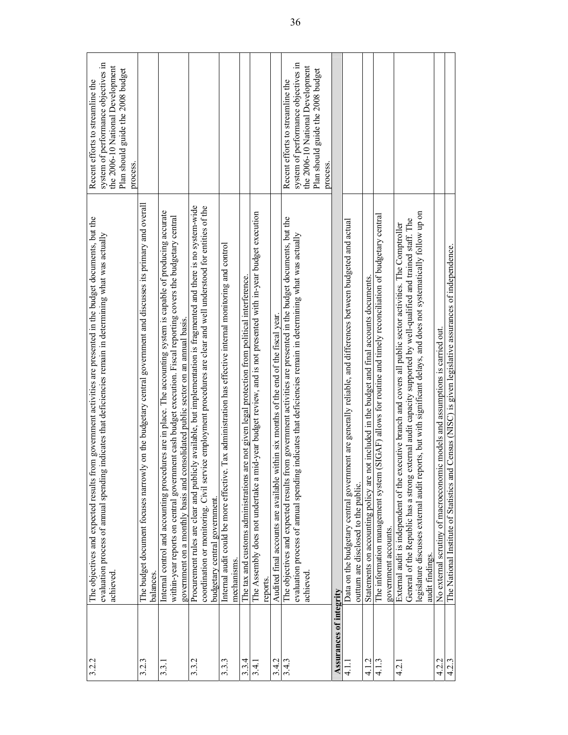| 3.2.2                   | The objectives and expected results from government activities are presented in the budget documents, but the<br>evaluation process of annual spending indicates that deficiencies remain in determining what was actually<br>achieved                                                                                                                                     | system of performance objectives in<br>the 2006-10 National Development<br>Plan should guide the 2008 budget<br>Recent efforts to streamline the<br>process. |
|-------------------------|----------------------------------------------------------------------------------------------------------------------------------------------------------------------------------------------------------------------------------------------------------------------------------------------------------------------------------------------------------------------------|--------------------------------------------------------------------------------------------------------------------------------------------------------------|
| 3.2.3                   | ly on the budgetary central government and discusses its primary and overall<br>The budget document focuses narrowl<br>balances                                                                                                                                                                                                                                            |                                                                                                                                                              |
| 3.3.1                   | Internal control and accounting procedures are in place. The accounting system is capable of producing accurate<br>within-year reports on central government cash budget execution. Fiscal reporting covers the budgetary central<br>government on a monthly basis and consolidated public sector on an annual basis                                                       |                                                                                                                                                              |
| 3.3.2                   | Procurement rules are clear and publicly available, but implementation is fragmented and there is no system-wide<br>coordination or monitoring. Civil service employment procedures are clear and well understood for entities of the<br>budgetary central government                                                                                                      |                                                                                                                                                              |
| 3.3.3                   | Internal audit could be more effective. Tax administration has effective internal monitoring and control<br>mechanisms                                                                                                                                                                                                                                                     |                                                                                                                                                              |
| 3.3.4                   | The tax and customs administrations are not given legal protection from political interference.                                                                                                                                                                                                                                                                            |                                                                                                                                                              |
| 3.4.1                   | The Assembly does not undertake a mid-year budget review, and is not presented with in-year budget execution<br>reports.                                                                                                                                                                                                                                                   |                                                                                                                                                              |
| 3.4.2                   | Audited final accounts are available within six months of the end of the fiscal year.                                                                                                                                                                                                                                                                                      |                                                                                                                                                              |
| 3.4.3                   | The objectives and expected results from government activities are presented in the budget documents, but the<br>evaluation process of annual spending indicates that deficiencies remain in determining what was actually<br>achieved                                                                                                                                     | system of performance objectives in<br>the 2006-10 National Development<br>Plan should guide the 2008 budget<br>Recent efforts to streamline the<br>process. |
| Assurances of integrity |                                                                                                                                                                                                                                                                                                                                                                            |                                                                                                                                                              |
| $\frac{1}{4}$           | Data on the budgetary central government are generally reliable, and differences between budgeted and actual<br>outum are disclosed to the public.                                                                                                                                                                                                                         |                                                                                                                                                              |
| 4.1.2                   | Statements on accounting policy are not included in the budget and final accounts documents                                                                                                                                                                                                                                                                                |                                                                                                                                                              |
| 4.1.3                   | (SIGAF) allows for routine and timely reconciliation of budgetary central<br>The information management system<br>government accounts.                                                                                                                                                                                                                                     |                                                                                                                                                              |
| 4.2.                    | egislature discusses external audit reports, but with significant delays, and does not systematically follow up on<br>General of the Republic has a strong external audit capacity supported by well-qualified and trained staff. The<br>External audit is independent of the executive branch and covers all public sector activities. The Comptroller<br>audit findings. |                                                                                                                                                              |
| 4.2.2                   | No external scrutiny of macroeconomic models and assumptions is carried out.                                                                                                                                                                                                                                                                                               |                                                                                                                                                              |
| 4.2.3                   | d Census (NISC) is given legislative assurances of independence.<br>The National Institute of Statistics and                                                                                                                                                                                                                                                               |                                                                                                                                                              |
|                         |                                                                                                                                                                                                                                                                                                                                                                            |                                                                                                                                                              |